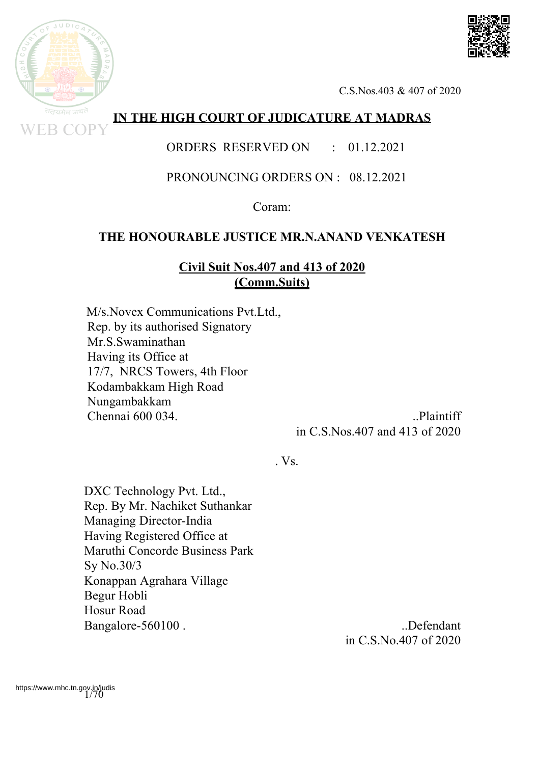

# **IN THE HIGH COURT OF JUDICATURE AT MADRAS**

## ORDERS RESERVED ON : 01.12.2021

## PRONOUNCING ORDERS ON : 08.12.2021

Coram:

#### **THE HONOURABLE JUSTICE MR.N.ANAND VENKATESH**

#### **Civil Suit Nos.407 and 413 of 2020 (Comm.Suits)**

 M/s.Novex Communications Pvt.Ltd., Rep. by its authorised Signatory Mr.S.Swaminathan Having its Office at 17/7, NRCS Towers, 4th Floor Kodambakkam High Road Nungambakkam Chennai 600 034. ..Plaintiff

in C.S.Nos.407 and 413 of 2020

. Vs.

DXC Technology Pvt. Ltd., Rep. By Mr. Nachiket Suthankar Managing Director-India Having Registered Office at Maruthi Concorde Business Park Sy No.30/3 Konappan Agrahara Village Begur Hobli Hosur Road Bangalore-560100.

in C.S.No.407 of 2020

https://www.mhc.tn.gov.in/judis<br>1/70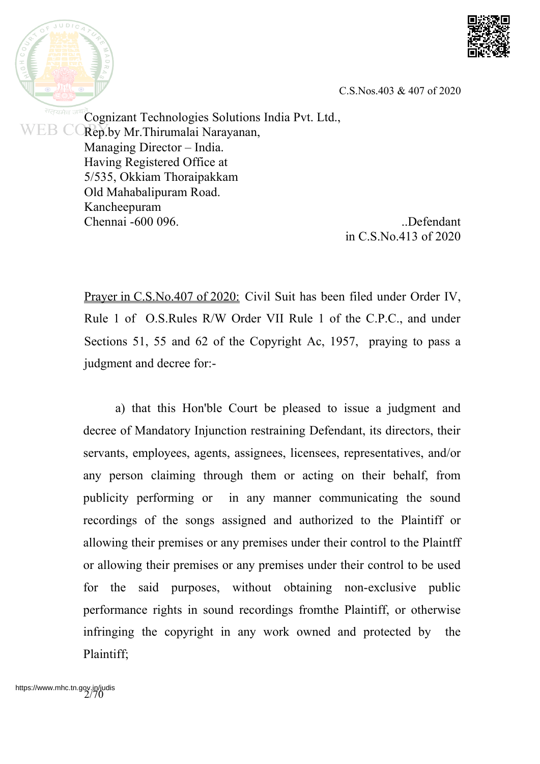

 $JUDIC$ सत्यमेव

C.S.Nos.403 & 407 of 2020

Cognizant Technologies Solutions India Pvt. Ltd., WEB CO Rep.by Mr.Thirumalai Narayanan, Managing Director – India. Having Registered Office at 5/535, Okkiam Thoraipakkam Old Mahabalipuram Road. Kancheepuram Chennai -600 096. ..Defendant

in C.S.No.413 of 2020

Prayer in C.S.No.407 of 2020: Civil Suit has been filed under Order IV, Rule 1 of O.S.Rules R/W Order VII Rule 1 of the C.P.C., and under Sections 51, 55 and 62 of the Copyright Ac, 1957, praying to pass a judgment and decree for:-

a) that this Hon'ble Court be pleased to issue a judgment and decree of Mandatory Injunction restraining Defendant, its directors, their servants, employees, agents, assignees, licensees, representatives, and/or any person claiming through them or acting on their behalf, from publicity performing or in any manner communicating the sound recordings of the songs assigned and authorized to the Plaintiff or allowing their premises or any premises under their control to the Plaintff or allowing their premises or any premises under their control to be used for the said purposes, without obtaining non-exclusive public performance rights in sound recordings fromthe Plaintiff, or otherwise infringing the copyright in any work owned and protected by the Plaintiff;

https://www.mhc.tn.gov.in/judis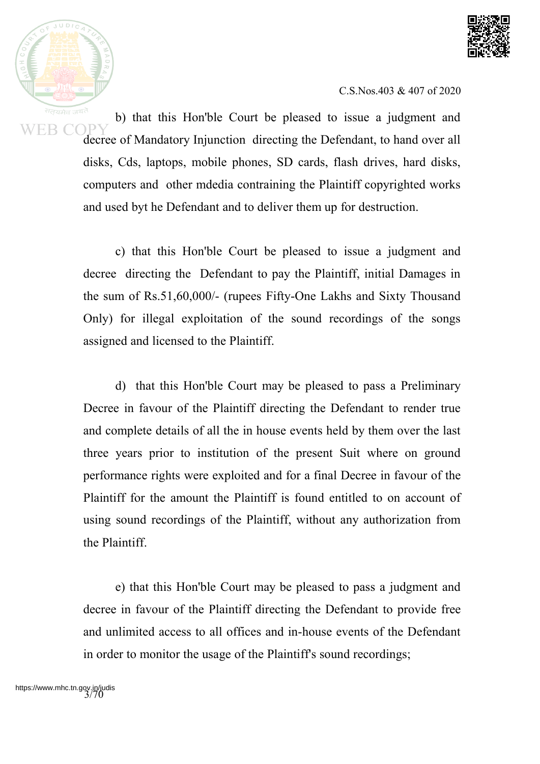



b) that this Hon'ble Court be pleased to issue a judgment and decree of Mandatory Injunction directing the Defendant, to hand over all disks, Cds, laptops, mobile phones, SD cards, flash drives, hard disks, computers and other mdedia contraining the Plaintiff copyrighted works and used byt he Defendant and to deliver them up for destruction.

c) that this Hon'ble Court be pleased to issue a judgment and decree directing the Defendant to pay the Plaintiff, initial Damages in the sum of Rs.51,60,000/- (rupees Fifty-One Lakhs and Sixty Thousand Only) for illegal exploitation of the sound recordings of the songs assigned and licensed to the Plaintiff.

d) that this Hon'ble Court may be pleased to pass a Preliminary Decree in favour of the Plaintiff directing the Defendant to render true and complete details of all the in house events held by them over the last three years prior to institution of the present Suit where on ground performance rights were exploited and for a final Decree in favour of the Plaintiff for the amount the Plaintiff is found entitled to on account of using sound recordings of the Plaintiff, without any authorization from the Plaintiff.

e) that this Hon'ble Court may be pleased to pass a judgment and decree in favour of the Plaintiff directing the Defendant to provide free and unlimited access to all offices and in-house events of the Defendant in order to monitor the usage of the Plaintiff's sound recordings;

https://www.mhc.tn.gov.in/judis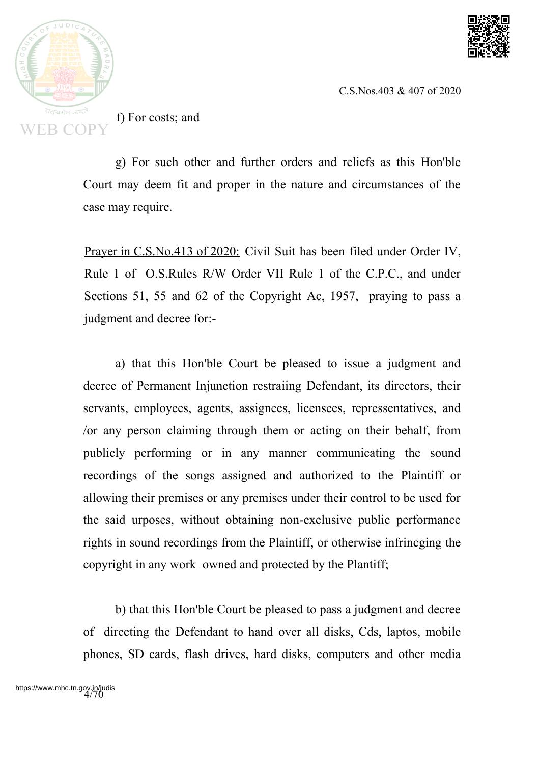



f) For costs; and

g) For such other and further orders and reliefs as this Hon'ble Court may deem fit and proper in the nature and circumstances of the case may require.

Prayer in C.S.No.413 of 2020: Civil Suit has been filed under Order IV, Rule 1 of O.S.Rules R/W Order VII Rule 1 of the C.P.C., and under Sections 51, 55 and 62 of the Copyright Ac, 1957, praying to pass a judgment and decree for:-

a) that this Hon'ble Court be pleased to issue a judgment and decree of Permanent Injunction restraiing Defendant, its directors, their servants, employees, agents, assignees, licensees, repressentatives, and /or any person claiming through them or acting on their behalf, from publicly performing or in any manner communicating the sound recordings of the songs assigned and authorized to the Plaintiff or allowing their premises or any premises under their control to be used for the said urposes, without obtaining non-exclusive public performance rights in sound recordings from the Plaintiff, or otherwise infrincging the copyright in any work owned and protected by the Plantiff;

b) that this Hon'ble Court be pleased to pass a judgment and decree of directing the Defendant to hand over all disks, Cds, laptos, mobile phones, SD cards, flash drives, hard disks, computers and other media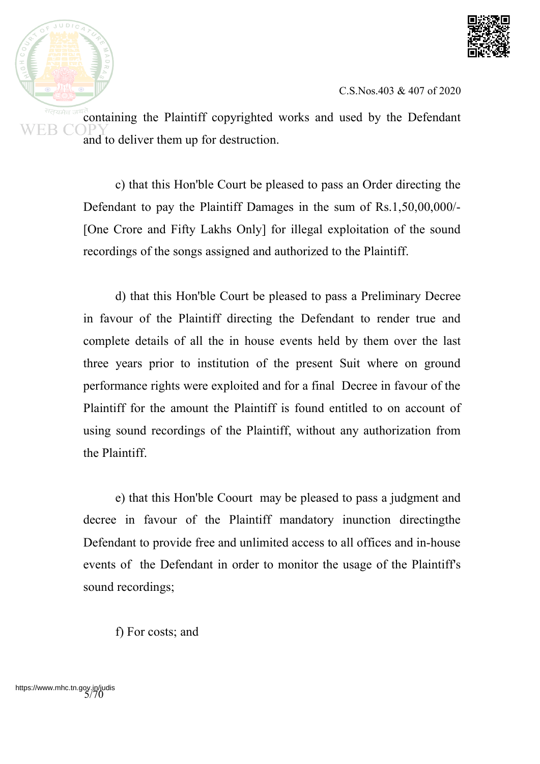

containing the Plaintiff copyrighted works and used by the Defendant and to deliver them up for destruction.

> c) that this Hon'ble Court be pleased to pass an Order directing the Defendant to pay the Plaintiff Damages in the sum of Rs.1,50,00,000/- [One Crore and Fifty Lakhs Only] for illegal exploitation of the sound recordings of the songs assigned and authorized to the Plaintiff.

> d) that this Hon'ble Court be pleased to pass a Preliminary Decree in favour of the Plaintiff directing the Defendant to render true and complete details of all the in house events held by them over the last three years prior to institution of the present Suit where on ground performance rights were exploited and for a final Decree in favour of the Plaintiff for the amount the Plaintiff is found entitled to on account of using sound recordings of the Plaintiff, without any authorization from the Plaintiff.

> e) that this Hon'ble Coourt may be pleased to pass a judgment and decree in favour of the Plaintiff mandatory inunction directingthe Defendant to provide free and unlimited access to all offices and in-house events of the Defendant in order to monitor the usage of the Plaintiff's sound recordings;

f) For costs; and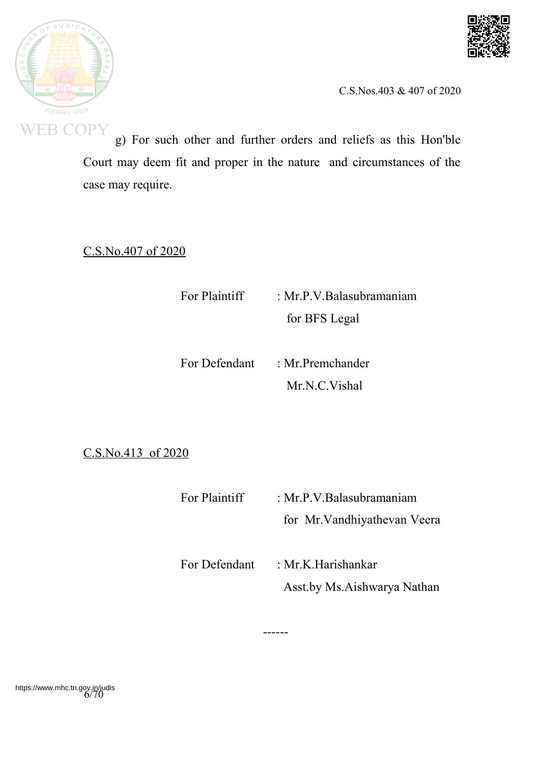



g) For such other and further orders and reliefs as this Hon'ble Court may deem fit and proper in the nature and circumstances of the case may require.

C.S.No.407 of 2020

For Plaintiff : Mr.P.V.Balasubramaniam for BFS Legal

For Defendant : Mr. Premchander Mr.N.C.Vishal

C.S.No.413 of 2020

For Plaintiff : Mr.P.V.Balasubramaniam for Mr.Vandhiyathevan Veera

For Defendant : Mr.K.Harishankar Asst.by Ms.Aishwarya Nathan

------

https://www.mhc.tn.gov.in/judis<br>6/70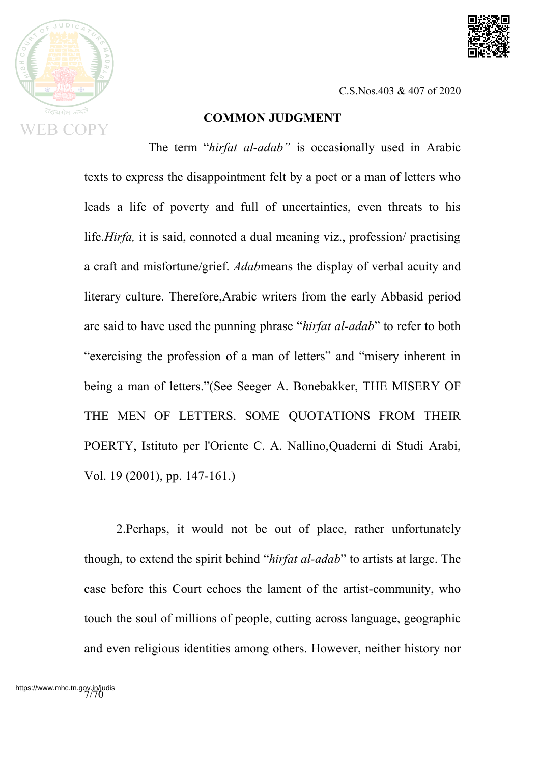



#### **COMMON JUDGMENT**

The term "*hirfat al-adab"* is occasionally used in Arabic texts to express the disappointment felt by a poet or a man of letters who leads a life of poverty and full of uncertainties, even threats to his life.*Hirfa,* it is said, connoted a dual meaning viz., profession/ practising a craft and misfortune/grief. *Adab*means the display of verbal acuity and literary culture. Therefore,Arabic writers from the early Abbasid period are said to have used the punning phrase "*hirfat al-adab*" to refer to both "exercising the profession of a man of letters" and "misery inherent in being a man of letters."(See Seeger A. Bonebakker, THE MISERY OF THE MEN OF LETTERS. SOME QUOTATIONS FROM THEIR POERTY, Istituto per l'Oriente C. A. Nallino,Quaderni di Studi Arabi, Vol. 19 (2001), pp. 147-161.)

2.Perhaps, it would not be out of place, rather unfortunately though, to extend the spirit behind "*hirfat al-adab*" to artists at large. The case before this Court echoes the lament of the artist-community, who touch the soul of millions of people, cutting across language, geographic and even religious identities among others. However, neither history nor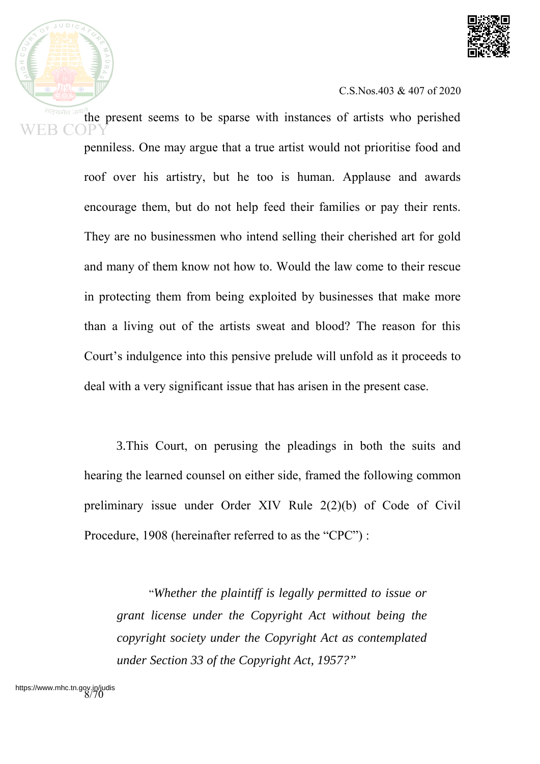

the present seems to be sparse with instances of artists who perished penniless. One may argue that a true artist would not prioritise food and roof over his artistry, but he too is human. Applause and awards encourage them, but do not help feed their families or pay their rents. They are no businessmen who intend selling their cherished art for gold and many of them know not how to. Would the law come to their rescue in protecting them from being exploited by businesses that make more than a living out of the artists sweat and blood? The reason for this Court's indulgence into this pensive prelude will unfold as it proceeds to deal with a very significant issue that has arisen in the present case.

3.This Court, on perusing the pleadings in both the suits and hearing the learned counsel on either side, framed the following common preliminary issue under Order XIV Rule 2(2)(b) of Code of Civil Procedure, 1908 (hereinafter referred to as the "CPC") :

"*Whether the plaintiff is legally permitted to issue or grant license under the Copyright Act without being the copyright society under the Copyright Act as contemplated under Section 33 of the Copyright Act, 1957?"*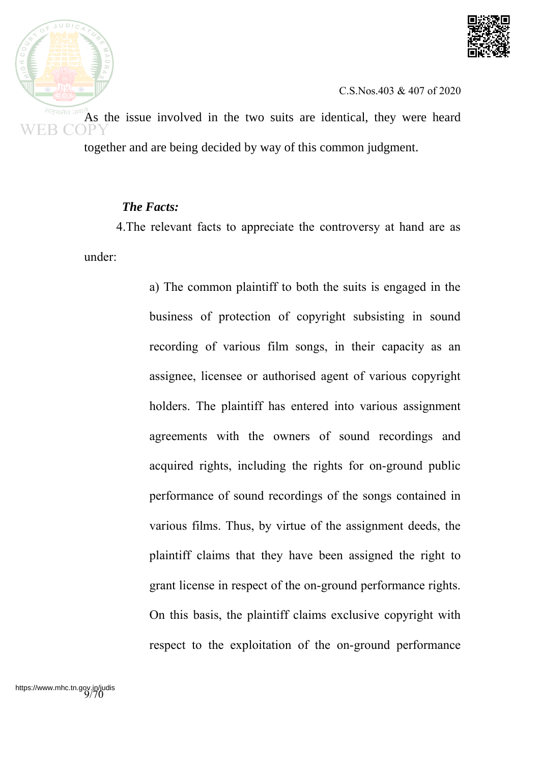



As the issue involved in the two suits are identical, they were heard together and are being decided by way of this common judgment.

#### *The Facts:*

4.The relevant facts to appreciate the controversy at hand are as under:

> a) The common plaintiff to both the suits is engaged in the business of protection of copyright subsisting in sound recording of various film songs, in their capacity as an assignee, licensee or authorised agent of various copyright holders. The plaintiff has entered into various assignment agreements with the owners of sound recordings and acquired rights, including the rights for on-ground public performance of sound recordings of the songs contained in various films. Thus, by virtue of the assignment deeds, the plaintiff claims that they have been assigned the right to grant license in respect of the on-ground performance rights. On this basis, the plaintiff claims exclusive copyright with respect to the exploitation of the on-ground performance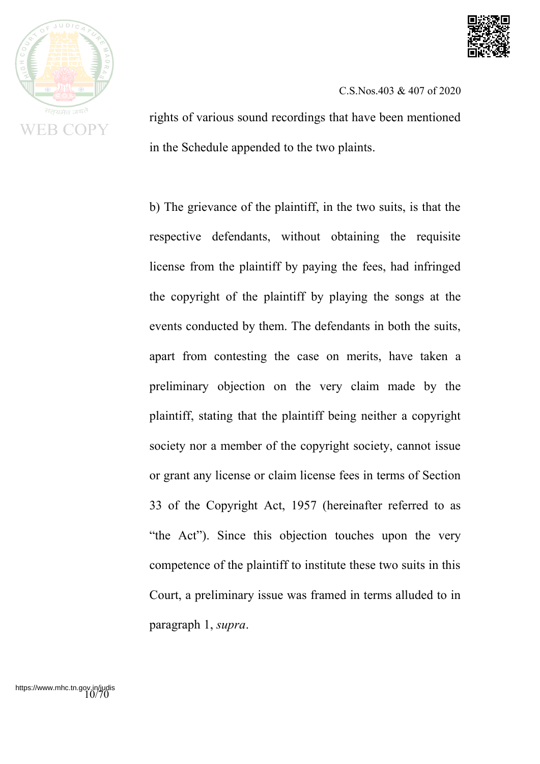



rights of various sound recordings that have been mentioned in the Schedule appended to the two plaints.

b) The grievance of the plaintiff, in the two suits, is that the respective defendants, without obtaining the requisite license from the plaintiff by paying the fees, had infringed the copyright of the plaintiff by playing the songs at the events conducted by them. The defendants in both the suits, apart from contesting the case on merits, have taken a preliminary objection on the very claim made by the plaintiff, stating that the plaintiff being neither a copyright society nor a member of the copyright society, cannot issue or grant any license or claim license fees in terms of Section 33 of the Copyright Act, 1957 (hereinafter referred to as "the Act"). Since this objection touches upon the very competence of the plaintiff to institute these two suits in this Court, a preliminary issue was framed in terms alluded to in paragraph 1, *supra*.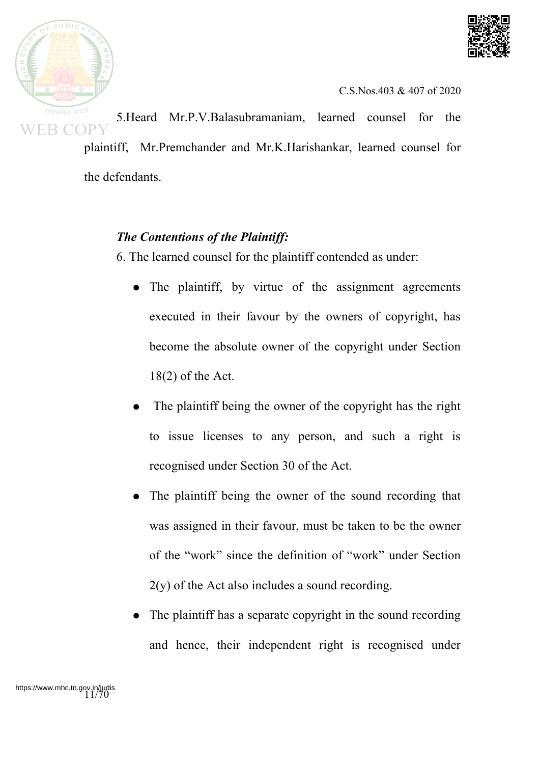



5.Heard Mr.P.V.Balasubramaniam, learned counsel for the plaintiff, Mr.Premchander and Mr.K.Harishankar, learned counsel for the defendants.

# *The Contentions of the Plaintiff:*

6. The learned counsel for the plaintiff contended as under:

- The plaintiff, by virtue of the assignment agreements executed in their favour by the owners of copyright, has become the absolute owner of the copyright under Section 18(2) of the Act.
- The plaintiff being the owner of the copyright has the right to issue licenses to any person, and such a right is recognised under Section 30 of the Act.
- The plaintiff being the owner of the sound recording that was assigned in their favour, must be taken to be the owner of the "work" since the definition of "work" under Section 2(y) of the Act also includes a sound recording.
- The plaintiff has a separate copyright in the sound recording and hence, their independent right is recognised under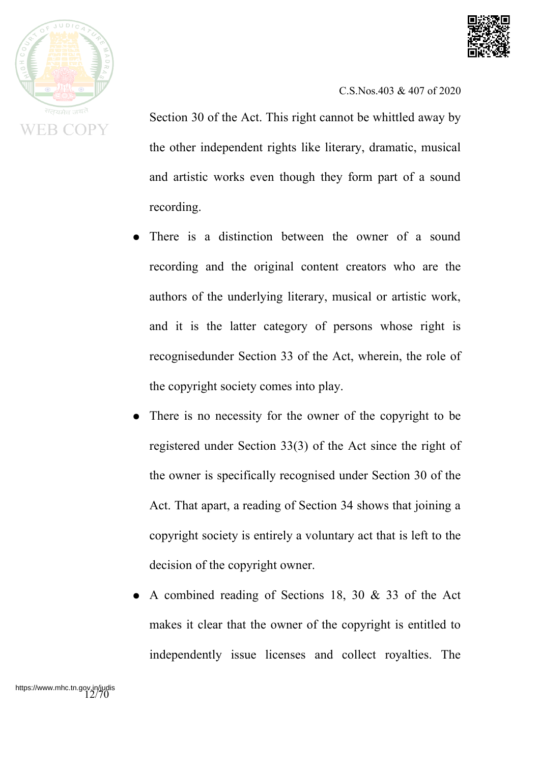



Section 30 of the Act. This right cannot be whittled away by the other independent rights like literary, dramatic, musical and artistic works even though they form part of a sound recording.

- There is a distinction between the owner of a sound recording and the original content creators who are the authors of the underlying literary, musical or artistic work, and it is the latter category of persons whose right is recognisedunder Section 33 of the Act, wherein, the role of the copyright society comes into play.
- There is no necessity for the owner of the copyright to be registered under Section 33(3) of the Act since the right of the owner is specifically recognised under Section 30 of the Act. That apart, a reading of Section 34 shows that joining a copyright society is entirely a voluntary act that is left to the decision of the copyright owner.
- A combined reading of Sections 18, 30  $&$  33 of the Act makes it clear that the owner of the copyright is entitled to independently issue licenses and collect royalties. The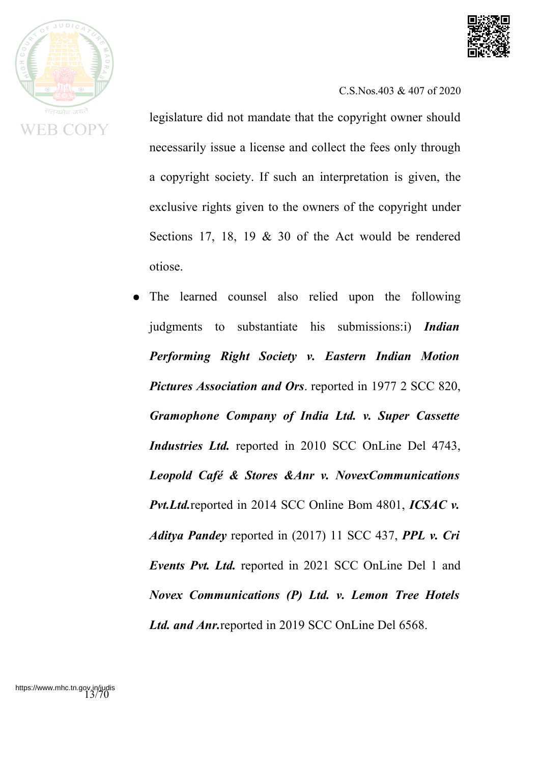



legislature did not mandate that the copyright owner should necessarily issue a license and collect the fees only through a copyright society. If such an interpretation is given, the exclusive rights given to the owners of the copyright under Sections 17, 18, 19 & 30 of the Act would be rendered otiose.

The learned counsel also relied upon the following judgments to substantiate his submissions:i) *Indian Performing Right Society v. Eastern Indian Motion Pictures Association and Ors*. reported in 1977 2 SCC 820, *Gramophone Company of India Ltd. v. Super Cassette Industries Ltd.* reported in 2010 SCC OnLine Del 4743, *Leopold Café & Stores &Anr v. NovexCommunications Pvt.Ltd.*reported in 2014 SCC Online Bom 4801, *ICSAC v. Aditya Pandey* reported in (2017) 11 SCC 437, *PPL v. Cri Events Pvt. Ltd.* reported in 2021 SCC OnLine Del 1 and *Novex Communications (P) Ltd. v. Lemon Tree Hotels Ltd. and Anr.*reported in 2019 SCC OnLine Del 6568.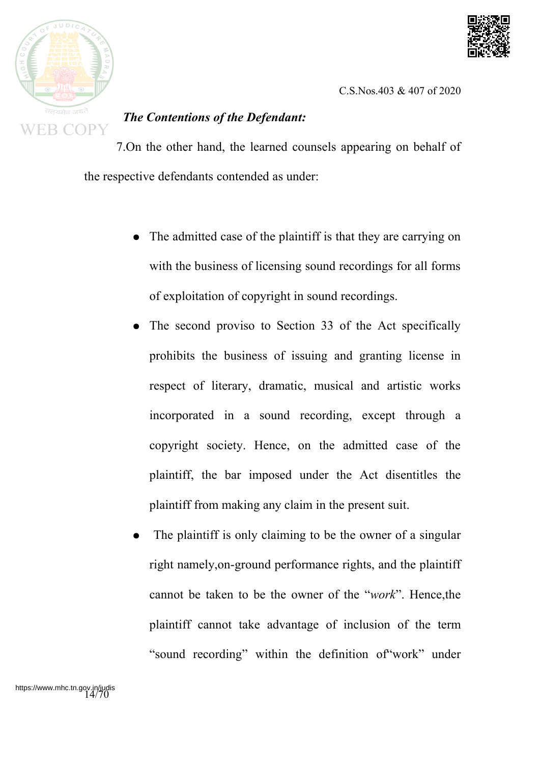



# *The Contentions of the Defendant:*

7.On the other hand, the learned counsels appearing on behalf of the respective defendants contended as under:

- The admitted case of the plaintiff is that they are carrying on with the business of licensing sound recordings for all forms of exploitation of copyright in sound recordings.
- The second proviso to Section 33 of the Act specifically prohibits the business of issuing and granting license in respect of literary, dramatic, musical and artistic works incorporated in a sound recording, except through a copyright society. Hence, on the admitted case of the plaintiff, the bar imposed under the Act disentitles the plaintiff from making any claim in the present suit.
- The plaintiff is only claiming to be the owner of a singular right namely,on-ground performance rights, and the plaintiff cannot be taken to be the owner of the "*work*". Hence,the plaintiff cannot take advantage of inclusion of the term "sound recording" within the definition of"work" under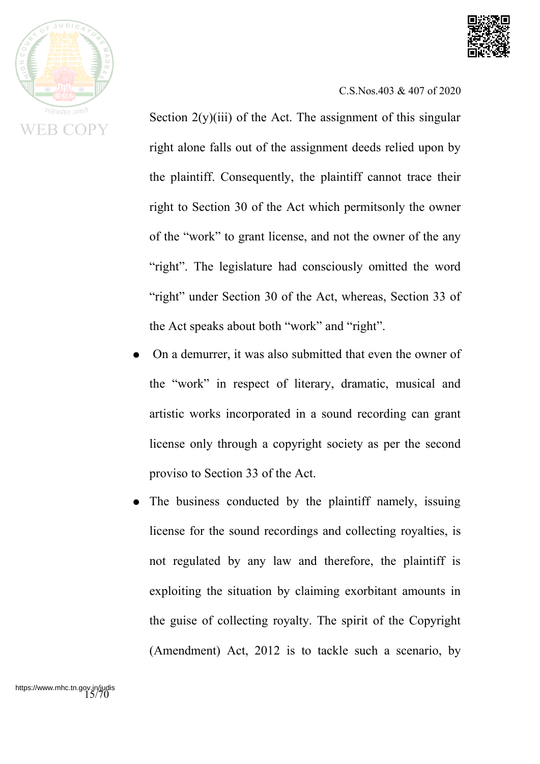

R ( 'OP

C.S.Nos.403 & 407 of 2020

Section  $2(y)(iii)$  of the Act. The assignment of this singular right alone falls out of the assignment deeds relied upon by the plaintiff. Consequently, the plaintiff cannot trace their right to Section 30 of the Act which permitsonly the owner of the "work" to grant license, and not the owner of the any "right". The legislature had consciously omitted the word "right" under Section 30 of the Act, whereas, Section 33 of the Act speaks about both "work" and "right".

- On a demurrer, it was also submitted that even the owner of the "work" in respect of literary, dramatic, musical and artistic works incorporated in a sound recording can grant license only through a copyright society as per the second proviso to Section 33 of the Act.
- The business conducted by the plaintiff namely, issuing license for the sound recordings and collecting royalties, is not regulated by any law and therefore, the plaintiff is exploiting the situation by claiming exorbitant amounts in the guise of collecting royalty. The spirit of the Copyright (Amendment) Act, 2012 is to tackle such a scenario, by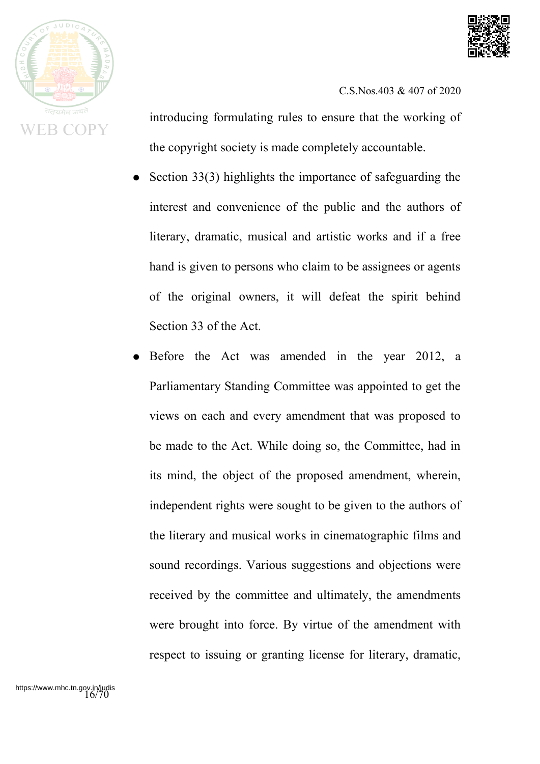



introducing formulating rules to ensure that the working of the copyright society is made completely accountable.

- Section  $33(3)$  highlights the importance of safeguarding the interest and convenience of the public and the authors of literary, dramatic, musical and artistic works and if a free hand is given to persons who claim to be assignees or agents of the original owners, it will defeat the spirit behind Section 33 of the Act.
- Before the Act was amended in the year 2012, a Parliamentary Standing Committee was appointed to get the views on each and every amendment that was proposed to be made to the Act. While doing so, the Committee, had in its mind, the object of the proposed amendment, wherein, independent rights were sought to be given to the authors of the literary and musical works in cinematographic films and sound recordings. Various suggestions and objections were received by the committee and ultimately, the amendments were brought into force. By virtue of the amendment with respect to issuing or granting license for literary, dramatic,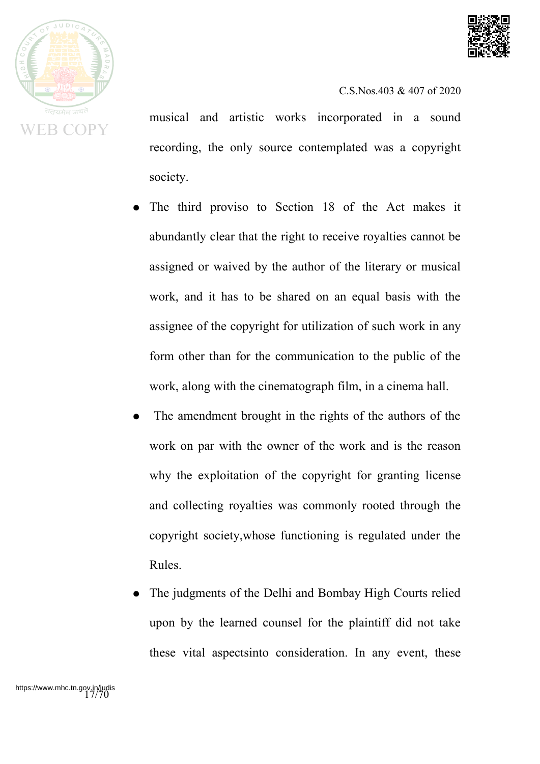



musical and artistic works incorporated in a sound recording, the only source contemplated was a copyright society.

- The third proviso to Section 18 of the Act makes it abundantly clear that the right to receive royalties cannot be assigned or waived by the author of the literary or musical work, and it has to be shared on an equal basis with the assignee of the copyright for utilization of such work in any form other than for the communication to the public of the work, along with the cinematograph film, in a cinema hall.
- The amendment brought in the rights of the authors of the work on par with the owner of the work and is the reason why the exploitation of the copyright for granting license and collecting royalties was commonly rooted through the copyright society,whose functioning is regulated under the Rules.
- The judgments of the Delhi and Bombay High Courts relied upon by the learned counsel for the plaintiff did not take these vital aspectsinto consideration. In any event, these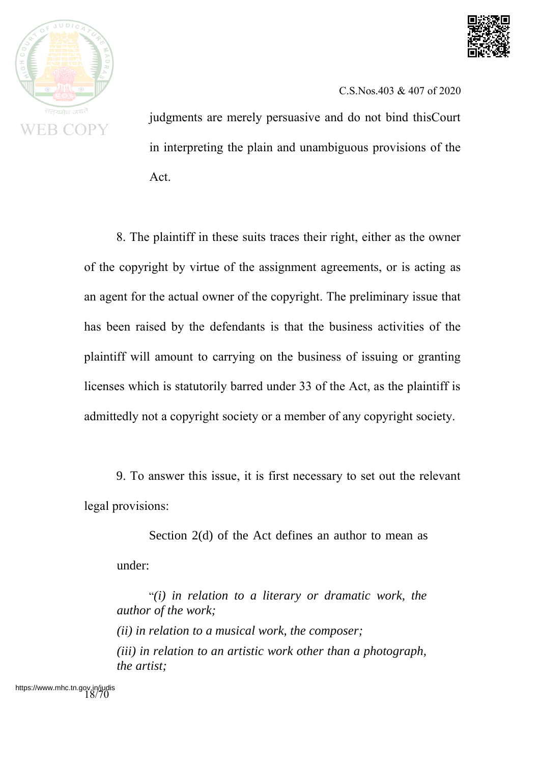



judgments are merely persuasive and do not bind thisCourt in interpreting the plain and unambiguous provisions of the Act.

8. The plaintiff in these suits traces their right, either as the owner of the copyright by virtue of the assignment agreements, or is acting as an agent for the actual owner of the copyright. The preliminary issue that has been raised by the defendants is that the business activities of the plaintiff will amount to carrying on the business of issuing or granting licenses which is statutorily barred under 33 of the Act, as the plaintiff is admittedly not a copyright society or a member of any copyright society.

9. To answer this issue, it is first necessary to set out the relevant legal provisions:

Section 2(d) of the Act defines an author to mean as under:

"*(i) in relation to a literary or dramatic work, the author of the work; (ii) in relation to a musical work, the composer; (iii) in relation to an artistic work other than a photograph, the artist;*

https://www.mhc.tn.gov.in/<br>18/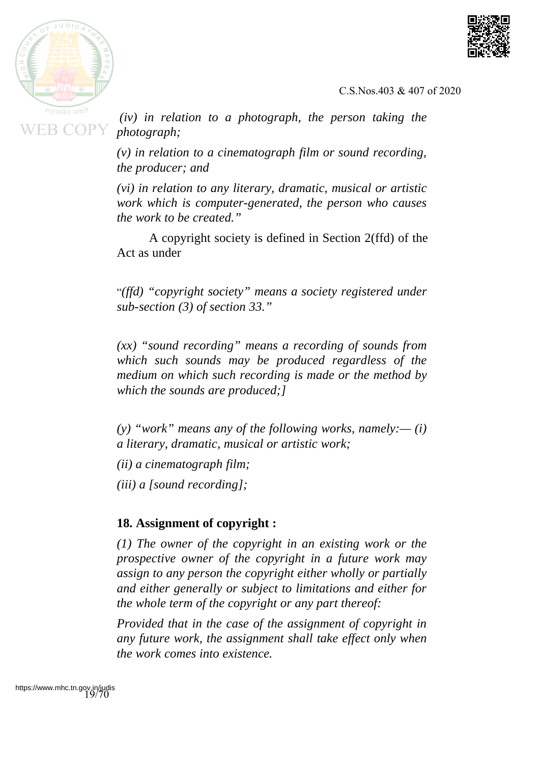



*(iv) in relation to a photograph, the person taking the photograph;*

*(v) in relation to a cinematograph film or sound recording, the producer; and*

*(vi) in relation to any literary, dramatic, musical or artistic work which is computer-generated, the person who causes the work to be created."*

A copyright society is defined in Section 2(ffd) of the Act as under

"*(ffd) "copyright society" means a society registered under sub-section (3) of section 33."*

*(xx) "sound recording" means a recording of sounds from which such sounds may be produced regardless of the medium on which such recording is made or the method by which the sounds are produced;]*

*(y) "work" means any of the following works, namely:— (i) a literary, dramatic, musical or artistic work;*

*(ii) a cinematograph film;*

*(iii) a [sound recording];*

## **18. Assignment of copyright :**

*(1) The owner of the copyright in an existing work or the prospective owner of the copyright in a future work may assign to any person the copyright either wholly or partially and either generally or subject to limitations and either for the whole term of the copyright or any part thereof:*

*Provided that in the case of the assignment of copyright in any future work, the assignment shall take effect only when the work comes into existence.*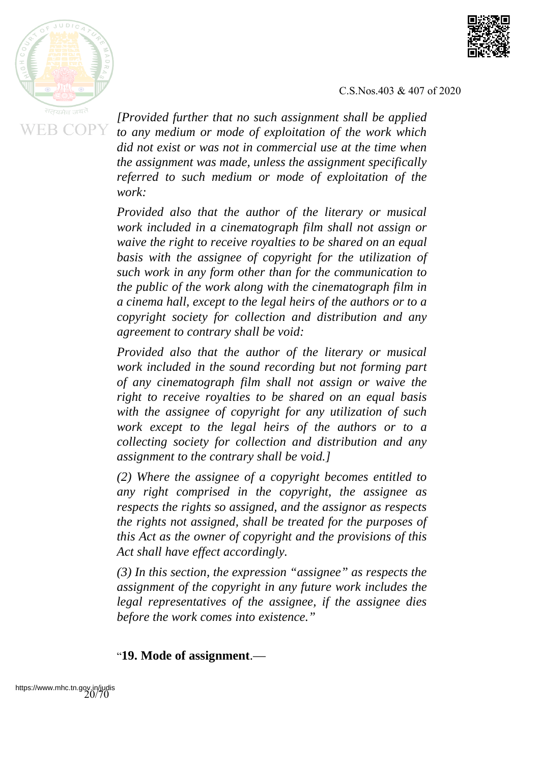



*[Provided further that no such assignment shall be applied to any medium or mode of exploitation of the work which did not exist or was not in commercial use at the time when the assignment was made, unless the assignment specifically referred to such medium or mode of exploitation of the work:*

*Provided also that the author of the literary or musical work included in a cinematograph film shall not assign or waive the right to receive royalties to be shared on an equal basis with the assignee of copyright for the utilization of such work in any form other than for the communication to the public of the work along with the cinematograph film in a cinema hall, except to the legal heirs of the authors or to a copyright society for collection and distribution and any agreement to contrary shall be void:*

*Provided also that the author of the literary or musical work included in the sound recording but not forming part of any cinematograph film shall not assign or waive the right to receive royalties to be shared on an equal basis with the assignee of copyright for any utilization of such work except to the legal heirs of the authors or to a collecting society for collection and distribution and any assignment to the contrary shall be void.]*

*(2) Where the assignee of a copyright becomes entitled to any right comprised in the copyright, the assignee as respects the rights so assigned, and the assignor as respects the rights not assigned, shall be treated for the purposes of this Act as the owner of copyright and the provisions of this Act shall have effect accordingly.*

*(3) In this section, the expression "assignee" as respects the assignment of the copyright in any future work includes the legal representatives of the assignee, if the assignee dies before the work comes into existence."*

#### "**19. Mode of assignment**.—

https://www.mhc.tn.gov.in/judis<br>20/70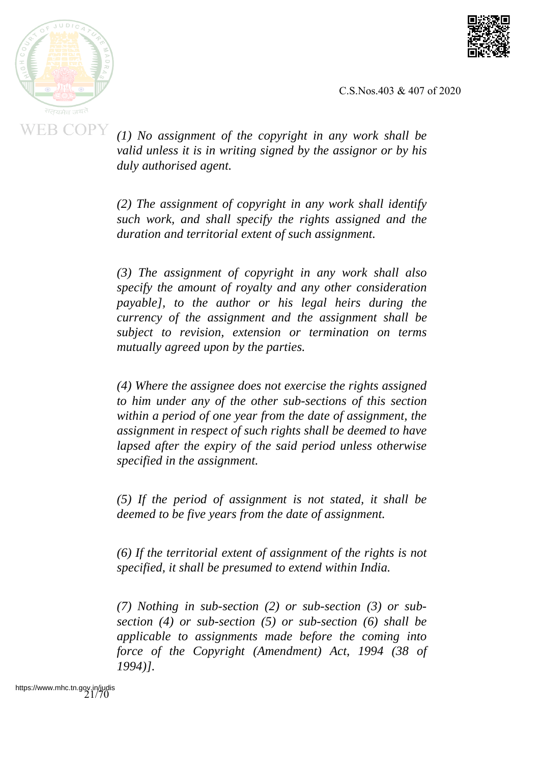



*(1) No assignment of the copyright in any work shall be valid unless it is in writing signed by the assignor or by his duly authorised agent.*

*(2) The assignment of copyright in any work shall identify such work, and shall specify the rights assigned and the duration and territorial extent of such assignment.*

*(3) The assignment of copyright in any work shall also specify the amount of royalty and any other consideration payable], to the author or his legal heirs during the currency of the assignment and the assignment shall be subject to revision, extension or termination on terms mutually agreed upon by the parties.*

*(4) Where the assignee does not exercise the rights assigned to him under any of the other sub-sections of this section within a period of one year from the date of assignment, the assignment in respect of such rights shall be deemed to have lapsed after the expiry of the said period unless otherwise specified in the assignment.*

*(5) If the period of assignment is not stated, it shall be deemed to be five years from the date of assignment.*

*(6) If the territorial extent of assignment of the rights is not specified, it shall be presumed to extend within India.*

*(7) Nothing in sub-section (2) or sub-section (3) or subsection (4) or sub-section (5) or sub-section (6) shall be applicable to assignments made before the coming into force of the Copyright (Amendment) Act, 1994 (38 of 1994)].*

https://www.mhc.tn.gov.in/judis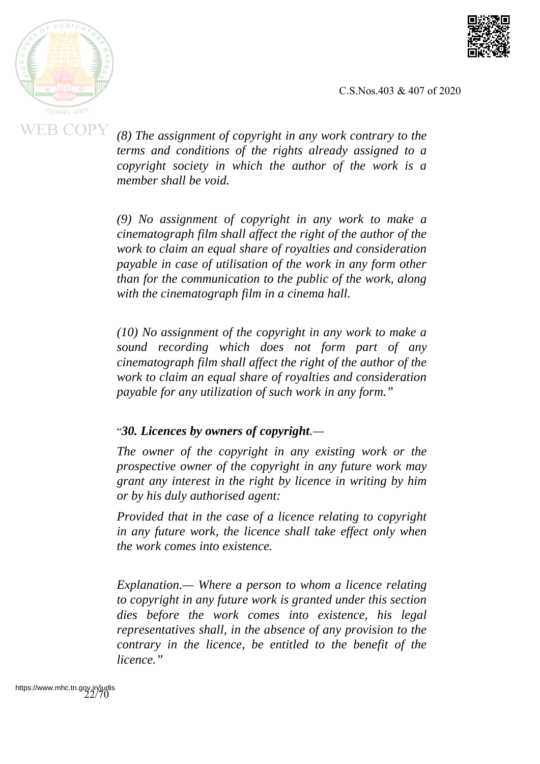



*(8) The assignment of copyright in any work contrary to the terms and conditions of the rights already assigned to a copyright society in which the author of the work is a member shall be void.*

*(9) No assignment of copyright in any work to make a cinematograph film shall affect the right of the author of the work to claim an equal share of royalties and consideration payable in case of utilisation of the work in any form other than for the communication to the public of the work, along with the cinematograph film in a cinema hall.*

*(10) No assignment of the copyright in any work to make a sound recording which does not form part of any cinematograph film shall affect the right of the author of the work to claim an equal share of royalties and consideration payable for any utilization of such work in any form."*

#### "*30. Licences by owners of copyright.—*

*The owner of the copyright in any existing work or the prospective owner of the copyright in any future work may grant any interest in the right by licence in writing by him or by his duly authorised agent:*

*Provided that in the case of a licence relating to copyright in any future work, the licence shall take effect only when the work comes into existence.*

*Explanation.— Where a person to whom a licence relating to copyright in any future work is granted under this section dies before the work comes into existence, his legal representatives shall, in the absence of any provision to the contrary in the licence, be entitled to the benefit of the licence."*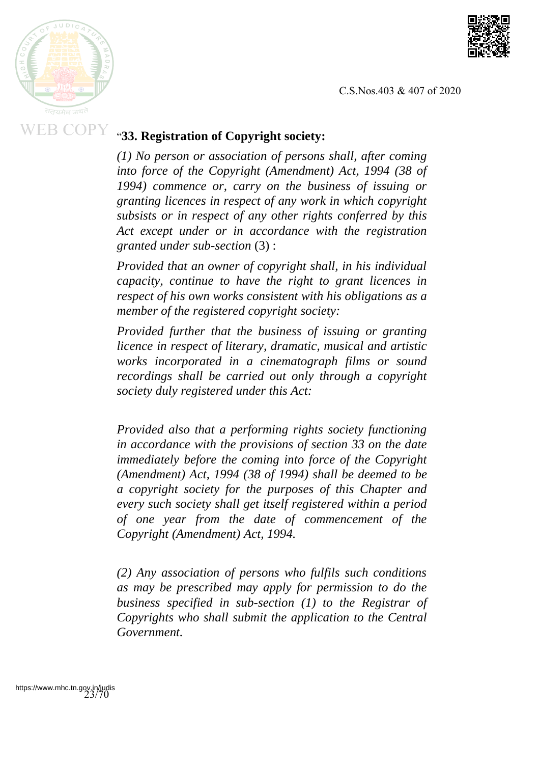



## "**33. Registration of Copyright society:**

*(1) No person or association of persons shall, after coming into force of the Copyright (Amendment) Act, 1994 (38 of 1994) commence or, carry on the business of issuing or granting licences in respect of any work in which copyright subsists or in respect of any other rights conferred by this Act except under or in accordance with the registration granted under sub-section* (3) :

*Provided that an owner of copyright shall, in his individual capacity, continue to have the right to grant licences in respect of his own works consistent with his obligations as a member of the registered copyright society:*

*Provided further that the business of issuing or granting licence in respect of literary, dramatic, musical and artistic works incorporated in a cinematograph films or sound recordings shall be carried out only through a copyright society duly registered under this Act:*

*Provided also that a performing rights society functioning in accordance with the provisions of section 33 on the date immediately before the coming into force of the Copyright (Amendment) Act, 1994 (38 of 1994) shall be deemed to be a copyright society for the purposes of this Chapter and every such society shall get itself registered within a period of one year from the date of commencement of the Copyright (Amendment) Act, 1994.*

*(2) Any association of persons who fulfils such conditions as may be prescribed may apply for permission to do the business specified in sub-section (1) to the Registrar of Copyrights who shall submit the application to the Central Government.*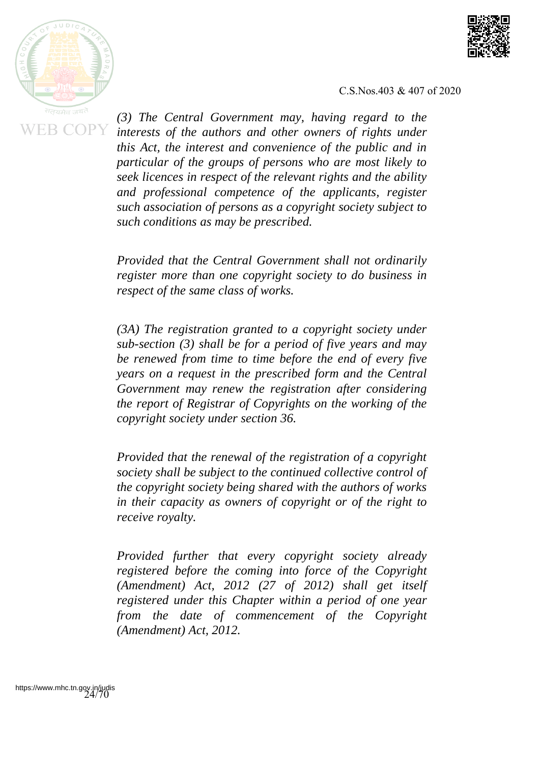



*(3) The Central Government may, having regard to the interests of the authors and other owners of rights under this Act, the interest and convenience of the public and in particular of the groups of persons who are most likely to seek licences in respect of the relevant rights and the ability and professional competence of the applicants, register such association of persons as a copyright society subject to such conditions as may be prescribed.*

*Provided that the Central Government shall not ordinarily register more than one copyright society to do business in respect of the same class of works.*

*(3A) The registration granted to a copyright society under sub-section (3) shall be for a period of five years and may be renewed from time to time before the end of every five years on a request in the prescribed form and the Central Government may renew the registration after considering the report of Registrar of Copyrights on the working of the copyright society under section 36.*

*Provided that the renewal of the registration of a copyright society shall be subject to the continued collective control of the copyright society being shared with the authors of works in their capacity as owners of copyright or of the right to receive royalty.*

*Provided further that every copyright society already registered before the coming into force of the Copyright (Amendment) Act, 2012 (27 of 2012) shall get itself registered under this Chapter within a period of one year from the date of commencement of the Copyright (Amendment) Act, 2012.*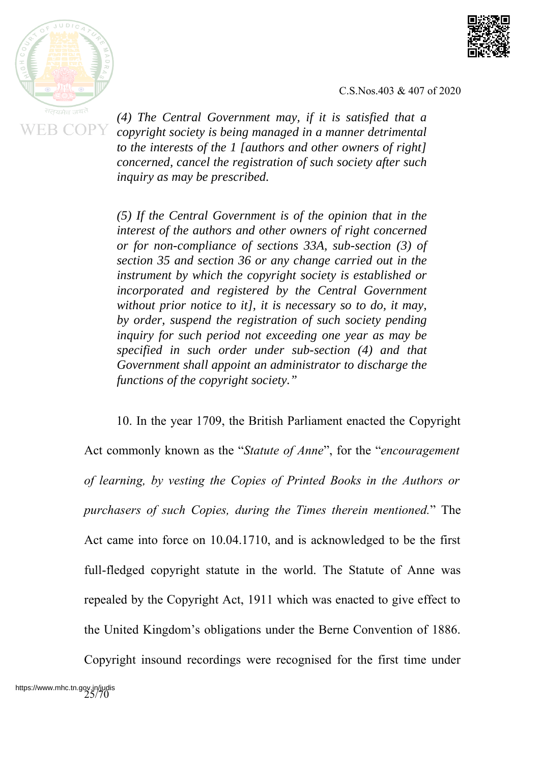



*(4) The Central Government may, if it is satisfied that a copyright society is being managed in a manner detrimental to the interests of the 1 [authors and other owners of right] concerned, cancel the registration of such society after such inquiry as may be prescribed.*

*(5) If the Central Government is of the opinion that in the interest of the authors and other owners of right concerned or for non-compliance of sections 33A, sub-section (3) of section 35 and section 36 or any change carried out in the instrument by which the copyright society is established or incorporated and registered by the Central Government without prior notice to it], it is necessary so to do, it may, by order, suspend the registration of such society pending inquiry for such period not exceeding one year as may be specified in such order under sub-section (4) and that Government shall appoint an administrator to discharge the functions of the copyright society."*

10. In the year 1709, the British Parliament enacted the Copyright Act commonly known as the "*Statute of Anne*", for the "*encouragement of learning, by vesting the Copies of Printed Books in the Authors or purchasers of such Copies, during the Times therein mentioned.*" The Act came into force on 10.04.1710, and is acknowledged to be the first full-fledged copyright statute in the world. The Statute of Anne was repealed by the Copyright Act, 1911 which was enacted to give effect to the United Kingdom's obligations under the Berne Convention of 1886.

Copyright insound recordings were recognised for the first time under https://www.mhc.tn.gov.in/judis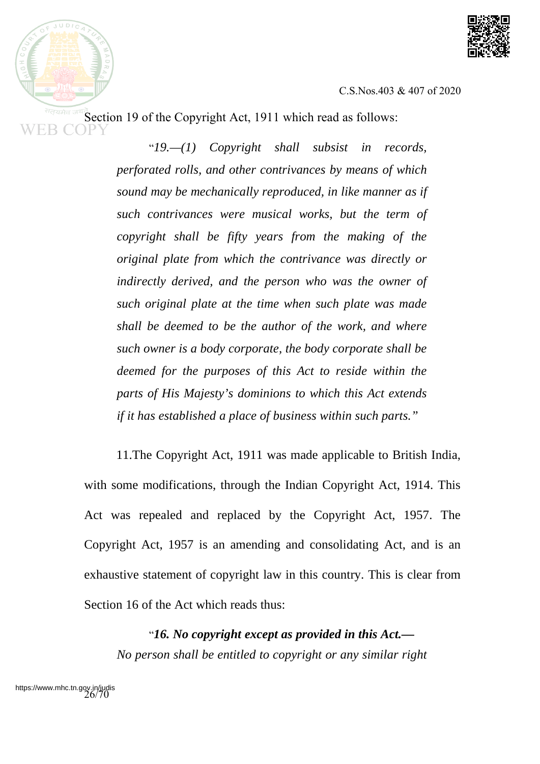



Section 19 of the Copyright Act, 1911 which read as follows:

"*19.—(1) Copyright shall subsist in records, perforated rolls, and other contrivances by means of which sound may be mechanically reproduced, in like manner as if such contrivances were musical works, but the term of copyright shall be fifty years from the making of the original plate from which the contrivance was directly or indirectly derived, and the person who was the owner of such original plate at the time when such plate was made shall be deemed to be the author of the work, and where such owner is a body corporate, the body corporate shall be deemed for the purposes of this Act to reside within the parts of His Majesty's dominions to which this Act extends if it has established a place of business within such parts."*

11.The Copyright Act, 1911 was made applicable to British India, with some modifications, through the Indian Copyright Act, 1914. This Act was repealed and replaced by the Copyright Act, 1957. The Copyright Act, 1957 is an amending and consolidating Act, and is an exhaustive statement of copyright law in this country. This is clear from Section 16 of the Act which reads thus:

"*16. No copyright except as provided in this Act.— No person shall be entitled to copyright or any similar right*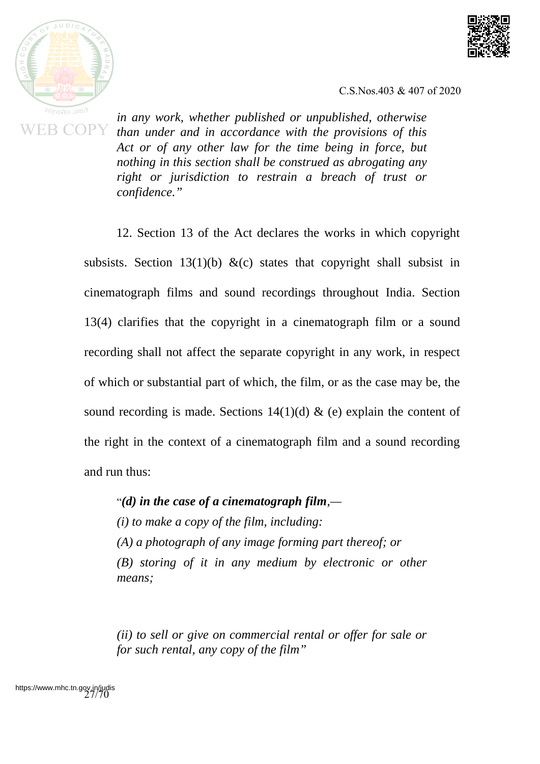



*in any work, whether published or unpublished, otherwise than under and in accordance with the provisions of this Act or of any other law for the time being in force, but nothing in this section shall be construed as abrogating any right or jurisdiction to restrain a breach of trust or confidence."*

12. Section 13 of the Act declares the works in which copyright subsists. Section 13(1)(b) &(c) states that copyright shall subsist in cinematograph films and sound recordings throughout India. Section 13(4) clarifies that the copyright in a cinematograph film or a sound recording shall not affect the separate copyright in any work, in respect of which or substantial part of which, the film, or as the case may be, the sound recording is made. Sections  $14(1)(d)$  & (e) explain the content of the right in the context of a cinematograph film and a sound recording and run thus:

"*(d) in the case of a cinematograph film,—*

*(i) to make a copy of the film, including:*

*(A) a photograph of any image forming part thereof; or*

*(B) storing of it in any medium by electronic or other means;*

*(ii) to sell or give on commercial rental or offer for sale or for such rental, any copy of the film"*

https://www.mhc.tn.gov.in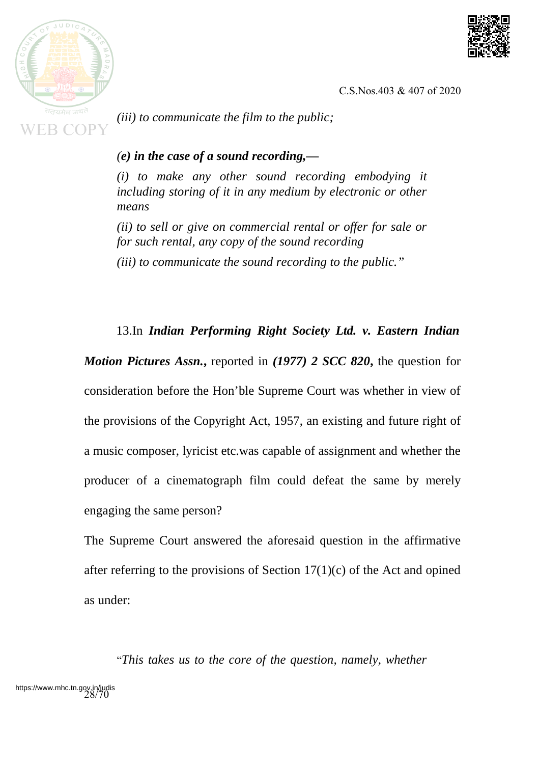

*(iii) to communicate the film to the public;*

## *(e) in the case of a sound recording,—*

*(i) to make any other sound recording embodying it including storing of it in any medium by electronic or other means*

*(ii) to sell or give on commercial rental or offer for sale or for such rental, any copy of the sound recording*

*(iii) to communicate the sound recording to the public."*

## 13.In *Indian Performing Right Society Ltd. v. Eastern Indian*

*Motion Pictures Assn.***,** reported in *(1977) 2 SCC 820***,** the question for consideration before the Hon'ble Supreme Court was whether in view of the provisions of the Copyright Act, 1957, an existing and future right of a music composer, lyricist etc.was capable of assignment and whether the producer of a cinematograph film could defeat the same by merely engaging the same person?

The Supreme Court answered the aforesaid question in the affirmative after referring to the provisions of Section  $17(1)(c)$  of the Act and opined as under:

"*This takes us to the core of the question, namely, whether* https://www.mhc.tn.gov.in/judistry.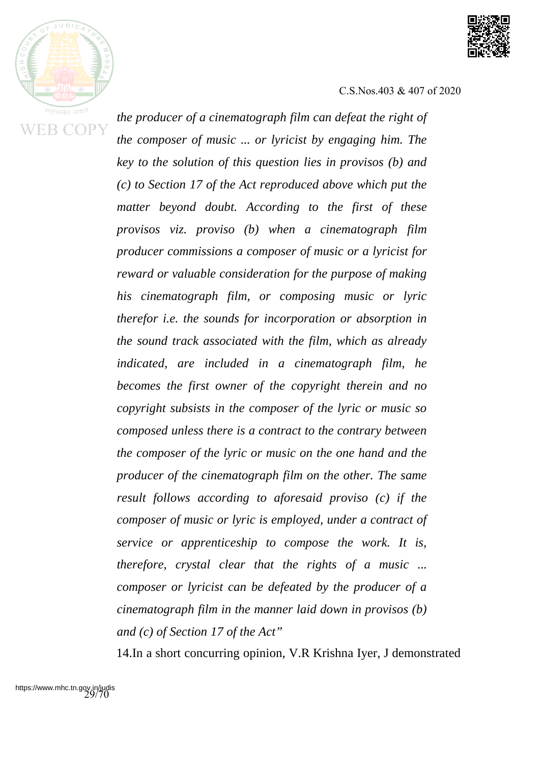



*the producer of a cinematograph film can defeat the right of the composer of music ... or lyricist by engaging him. The key to the solution of this question lies in provisos (b) and (c) to Section 17 of the Act reproduced above which put the matter beyond doubt. According to the first of these provisos viz. proviso (b) when a cinematograph film producer commissions a composer of music or a lyricist for reward or valuable consideration for the purpose of making his cinematograph film, or composing music or lyric therefor i.e. the sounds for incorporation or absorption in the sound track associated with the film, which as already indicated, are included in a cinematograph film, he becomes the first owner of the copyright therein and no copyright subsists in the composer of the lyric or music so composed unless there is a contract to the contrary between the composer of the lyric or music on the one hand and the producer of the cinematograph film on the other. The same result follows according to aforesaid proviso (c) if the composer of music or lyric is employed, under a contract of service or apprenticeship to compose the work. It is, therefore, crystal clear that the rights of a music ... composer or lyricist can be defeated by the producer of a cinematograph film in the manner laid down in provisos (b) and (c) of Section 17 of the Act"*

14.In a short concurring opinion, V.R Krishna Iyer, J demonstrated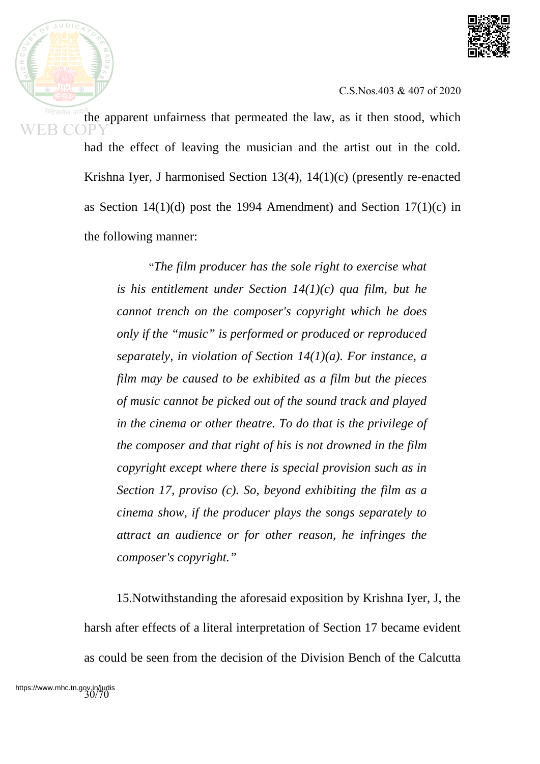

the apparent unfairness that permeated the law, as it then stood, which had the effect of leaving the musician and the artist out in the cold. Krishna Iyer, J harmonised Section 13(4), 14(1)(c) (presently re-enacted as Section  $14(1)(d)$  post the 1994 Amendment) and Section  $17(1)(c)$  in the following manner:

> "*The film producer has the sole right to exercise what is his entitlement under Section 14(1)(c) qua film, but he cannot trench on the composer's copyright which he does only if the "music" is performed or produced or reproduced separately, in violation of Section 14(1)(a). For instance, a film may be caused to be exhibited as a film but the pieces of music cannot be picked out of the sound track and played in the cinema or other theatre. To do that is the privilege of the composer and that right of his is not drowned in the film copyright except where there is special provision such as in Section 17, proviso (c). So, beyond exhibiting the film as a cinema show, if the producer plays the songs separately to attract an audience or for other reason, he infringes the composer's copyright."*

15.Notwithstanding the aforesaid exposition by Krishna Iyer, J, the harsh after effects of a literal interpretation of Section 17 became evident as could be seen from the decision of the Division Bench of the Calcutta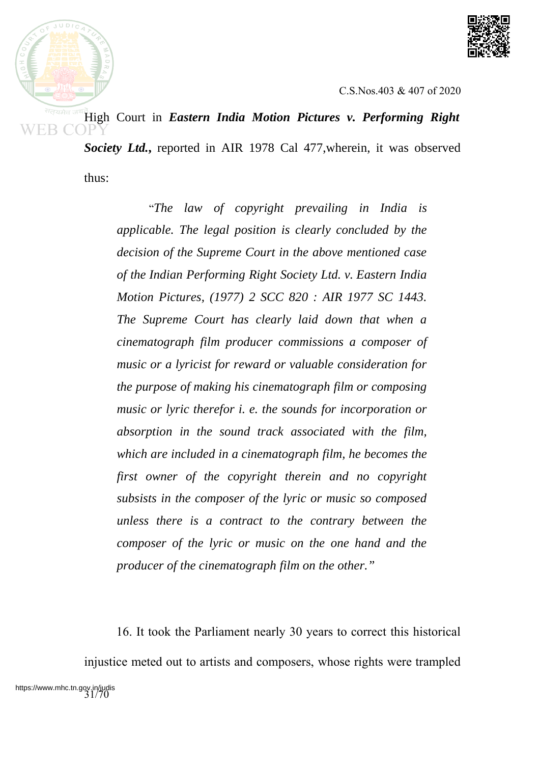



High Court in *Eastern India Motion Pictures v. Performing Right Society Ltd.***,** reported in AIR 1978 Cal 477,wherein, it was observed

thus:

"*The law of copyright prevailing in India is applicable. The legal position is clearly concluded by the decision of the Supreme Court in the above mentioned case of the Indian Performing Right Society Ltd. v. Eastern India Motion Pictures, (1977) 2 SCC 820 : AIR 1977 SC 1443. The Supreme Court has clearly laid down that when a cinematograph film producer commissions a composer of music or a lyricist for reward or valuable consideration for the purpose of making his cinematograph film or composing music or lyric therefor i. e. the sounds for incorporation or absorption in the sound track associated with the film, which are included in a cinematograph film, he becomes the first owner of the copyright therein and no copyright subsists in the composer of the lyric or music so composed unless there is a contract to the contrary between the composer of the lyric or music on the one hand and the producer of the cinematograph film on the other."*

16. It took the Parliament nearly 30 years to correct this historical injustice meted out to artists and composers, whose rights were trampled https://www.mhc.tn.gov.in/judis<br>31/70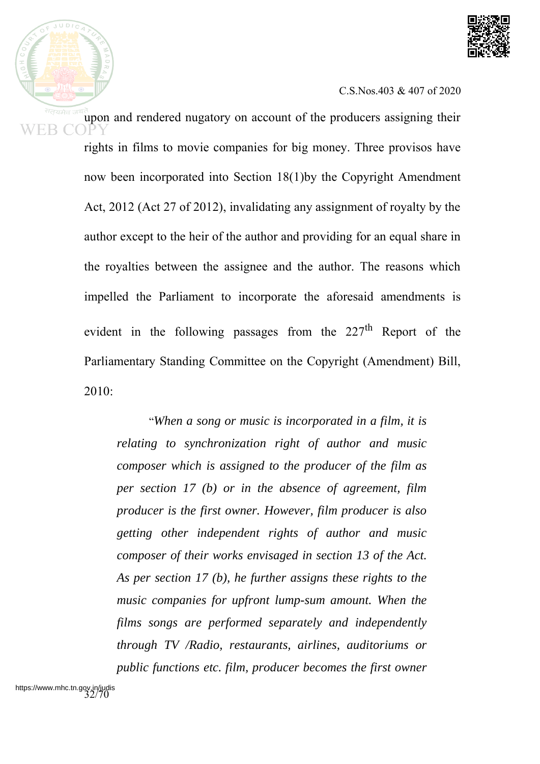

upon and rendered nugatory on account of the producers assigning their rights in films to movie companies for big money. Three provisos have now been incorporated into Section 18(1)by the Copyright Amendment Act, 2012 (Act 27 of 2012), invalidating any assignment of royalty by the author except to the heir of the author and providing for an equal share in the royalties between the assignee and the author. The reasons which impelled the Parliament to incorporate the aforesaid amendments is evident in the following passages from the 227<sup>th</sup> Report of the Parliamentary Standing Committee on the Copyright (Amendment) Bill, 2010:

> "*When a song or music is incorporated in a film, it is relating to synchronization right of author and music composer which is assigned to the producer of the film as per section 17 (b) or in the absence of agreement, film producer is the first owner. However, film producer is also getting other independent rights of author and music composer of their works envisaged in section 13 of the Act. As per section 17 (b), he further assigns these rights to the music companies for upfront lump-sum amount. When the films songs are performed separately and independently through TV /Radio, restaurants, airlines, auditoriums or public functions etc. film, producer becomes the first owner*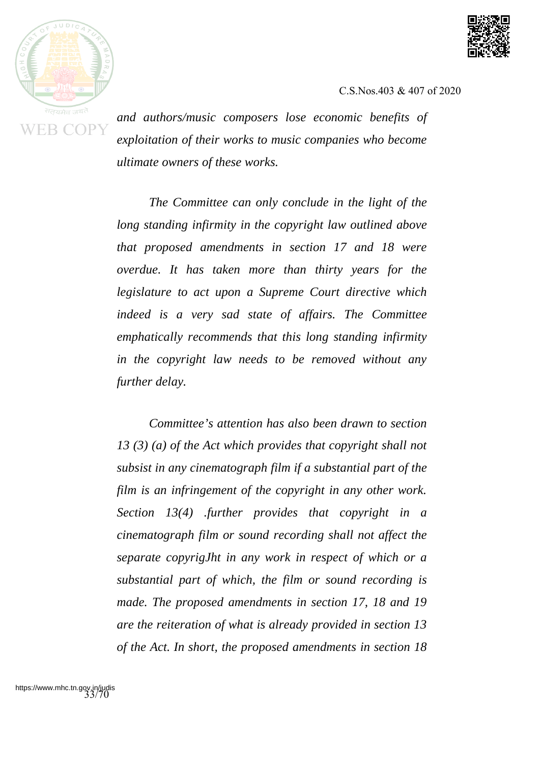



*and authors/music composers lose economic benefits of exploitation of their works to music companies who become ultimate owners of these works.*

*The Committee can only conclude in the light of the long standing infirmity in the copyright law outlined above that proposed amendments in section 17 and 18 were overdue. It has taken more than thirty years for the legislature to act upon a Supreme Court directive which indeed is a very sad state of affairs. The Committee emphatically recommends that this long standing infirmity in the copyright law needs to be removed without any further delay.*

*Committee's attention has also been drawn to section 13 (3) (a) of the Act which provides that copyright shall not subsist in any cinematograph film if a substantial part of the film is an infringement of the copyright in any other work. Section 13(4) .further provides that copyright in a cinematograph film or sound recording shall not affect the separate copyrigJht in any work in respect of which or a substantial part of which, the film or sound recording is made. The proposed amendments in section 17, 18 and 19 are the reiteration of what is already provided in section 13 of the Act. In short, the proposed amendments in section 18*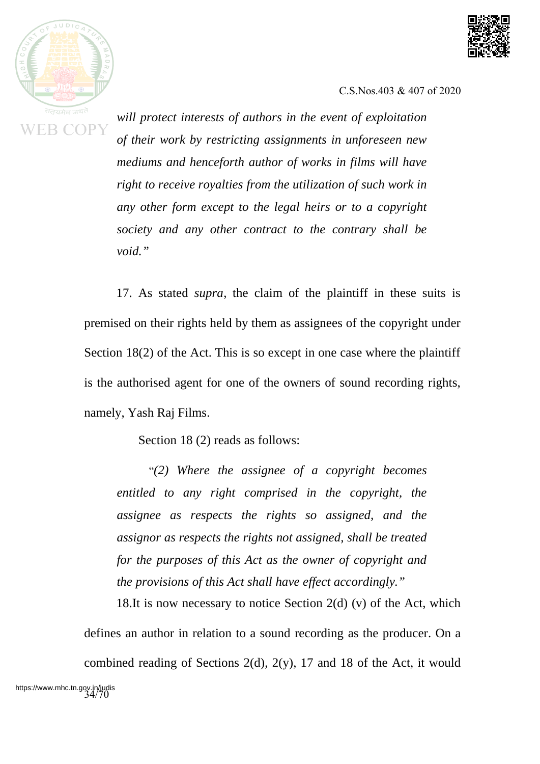



*will protect interests of authors in the event of exploitation of their work by restricting assignments in unforeseen new mediums and henceforth author of works in films will have right to receive royalties from the utilization of such work in any other form except to the legal heirs or to a copyright society and any other contract to the contrary shall be void."*

17. As stated *supra*, the claim of the plaintiff in these suits is premised on their rights held by them as assignees of the copyright under Section 18(2) of the Act. This is so except in one case where the plaintiff is the authorised agent for one of the owners of sound recording rights, namely, Yash Raj Films.

Section 18 (2) reads as follows:

"*(2) Where the assignee of a copyright becomes entitled to any right comprised in the copyright, the assignee as respects the rights so assigned, and the assignor as respects the rights not assigned, shall be treated for the purposes of this Act as the owner of copyright and the provisions of this Act shall have effect accordingly."*

18.It is now necessary to notice Section  $2(d)$  (v) of the Act, which defines an author in relation to a sound recording as the producer. On a combined reading of Sections 2(d), 2(y), 17 and 18 of the Act, it would https://www.mhc.tn.gov.in/judis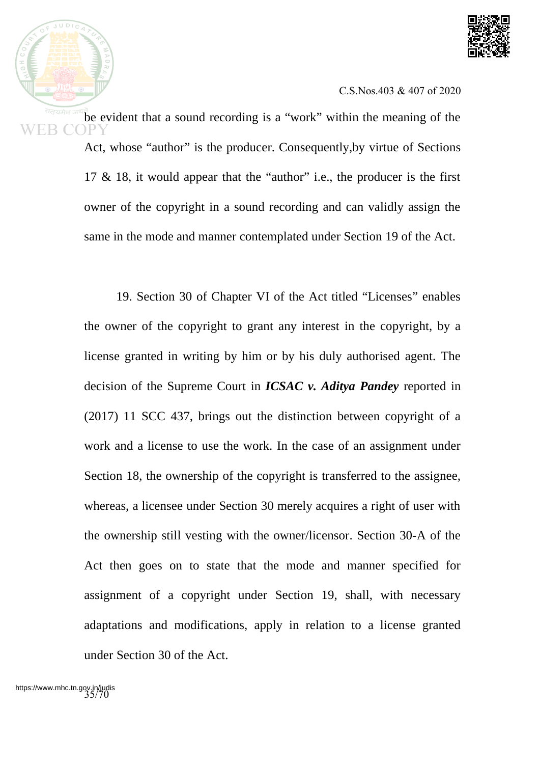

be evident that a sound recording is a "work" within the meaning of the Act, whose "author" is the producer. Consequently,by virtue of Sections 17 & 18, it would appear that the "author" i.e., the producer is the first owner of the copyright in a sound recording and can validly assign the same in the mode and manner contemplated under Section 19 of the Act.

> 19. Section 30 of Chapter VI of the Act titled "Licenses" enables the owner of the copyright to grant any interest in the copyright, by a license granted in writing by him or by his duly authorised agent. The decision of the Supreme Court in *ICSAC v. Aditya Pandey* reported in (2017) 11 SCC 437, brings out the distinction between copyright of a work and a license to use the work. In the case of an assignment under Section 18, the ownership of the copyright is transferred to the assignee, whereas, a licensee under Section 30 merely acquires a right of user with the ownership still vesting with the owner/licensor. Section 30-A of the Act then goes on to state that the mode and manner specified for assignment of a copyright under Section 19, shall, with necessary adaptations and modifications, apply in relation to a license granted under Section 30 of the Act.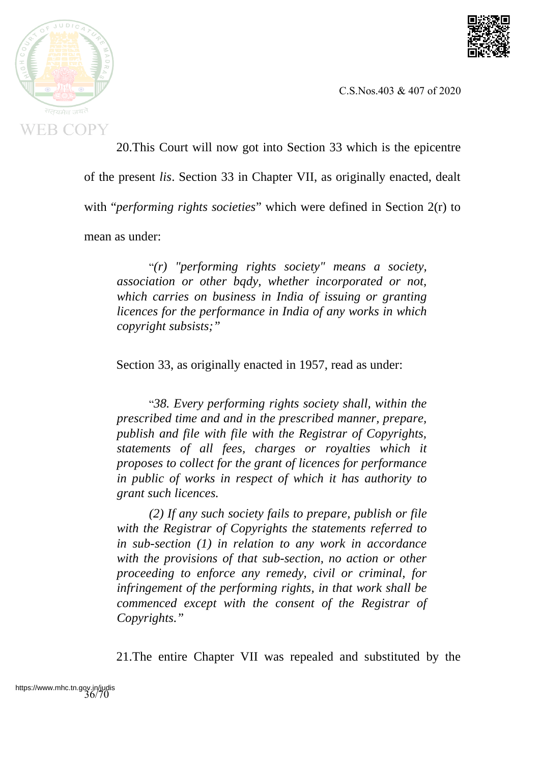



20.This Court will now got into Section 33 which is the epicentre of the present *lis*. Section 33 in Chapter VII, as originally enacted, dealt with "*performing rights societies*" which were defined in Section 2(r) to mean as under:

"*(r) "performing rights society" means a society, association or other bqdy, whether incorporated or not, which carries on business in India of issuing or granting licences for the performance in India of any works in which copyright subsists;"*

Section 33, as originally enacted in 1957, read as under:

"*38. Every performing rights society shall, within the prescribed time and and in the prescribed manner, prepare, publish and file with file with the Registrar of Copyrights, statements of all fees, charges or royalties which it proposes to collect for the grant of licences for performance in public of works in respect of which it has authority to grant such licences.*

*(2) If any such society fails to prepare, publish or file with the Registrar of Copyrights the statements referred to in sub-section (1) in relation to any work in accordance with the provisions of that sub-section, no action or other proceeding to enforce any remedy, civil or criminal, for infringement of the performing rights, in that work shall be commenced except with the consent of the Registrar of Copyrights."*

21.The entire Chapter VII was repealed and substituted by the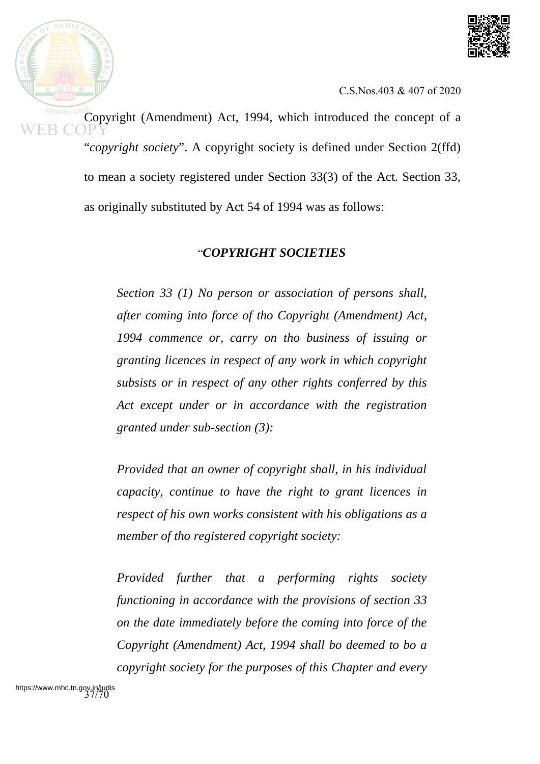

Copyright (Amendment) Act, 1994, which introduced the concept of a "*copyright society*". A copyright society is defined under Section 2(ffd) to mean a society registered under Section 33(3) of the Act. Section 33,

as originally substituted by Act 54 of 1994 was as follows:

## "*COPYRIGHT SOCIETIES*

*Section 33 (1) No person or association of persons shall, after coming into force of tho Copyright (Amendment) Act, 1994 commence or, carry on tho business of issuing or granting licences in respect of any work in which copyright subsists or in respect of any other rights conferred by this Act except under or in accordance with the registration granted under sub-section (3):*

*Provided that an owner of copyright shall, in his individual capacity, continue to have the right to grant licences in respect of his own works consistent with his obligations as a member of tho registered copyright society:*

*Provided further that a performing rights society functioning in accordance with the provisions of section 33 on the date immediately before the coming into force of the Copyright (Amendment) Act, 1994 shall bo deemed to bo a copyright society for the purposes of this Chapter and every*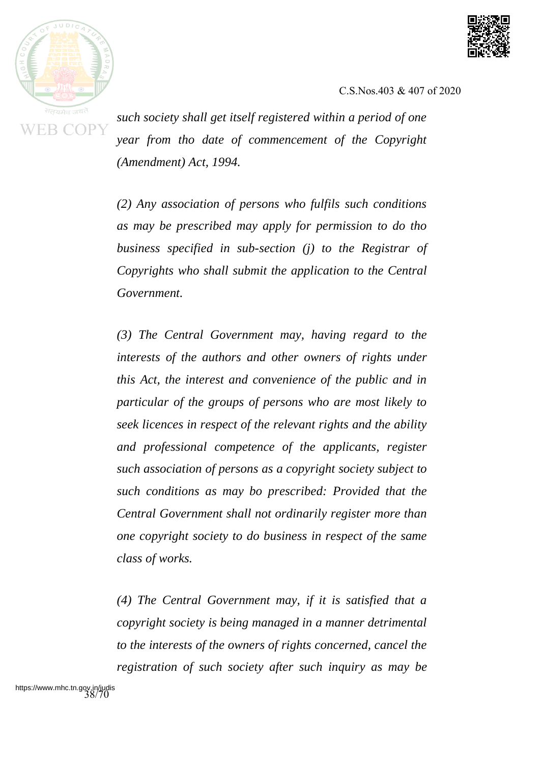



*such society shall get itself registered within a period of one year from tho date of commencement of the Copyright (Amendment) Act, 1994.*

*(2) Any association of persons who fulfils such conditions as may be prescribed may apply for permission to do tho business specified in sub-section (j) to the Registrar of Copyrights who shall submit the application to the Central Government.*

*(3) The Central Government may, having regard to the interests of the authors and other owners of rights under this Act, the interest and convenience of the public and in particular of the groups of persons who are most likely to seek licences in respect of the relevant rights and the ability and professional competence of the applicants, register such association of persons as a copyright society subject to such conditions as may bo prescribed: Provided that the Central Government shall not ordinarily register more than one copyright society to do business in respect of the same class of works.*

*(4) The Central Government may, if it is satisfied that a copyright society is being managed in a manner detrimental to the interests of the owners of rights concerned, cancel the registration of such society after such inquiry as may be*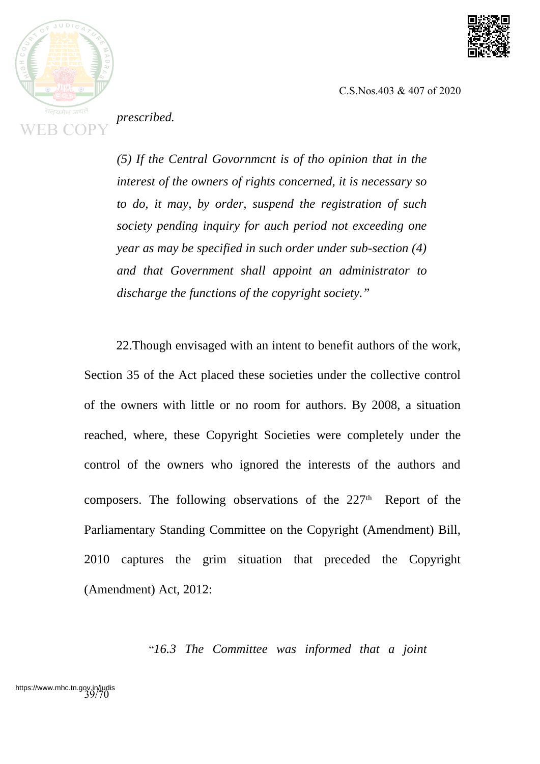



*prescribed.*

*(5) If the Central Govornmcnt is of tho opinion that in the interest of the owners of rights concerned, it is necessary so to do, it may, by order, suspend the registration of such society pending inquiry for auch period not exceeding one year as may be specified in such order under sub-section (4) and that Government shall appoint an administrator to discharge the functions of the copyright society."*

22.Though envisaged with an intent to benefit authors of the work, Section 35 of the Act placed these societies under the collective control of the owners with little or no room for authors. By 2008, a situation reached, where, these Copyright Societies were completely under the control of the owners who ignored the interests of the authors and composers. The following observations of the 227<sup>th</sup> Report of the Parliamentary Standing Committee on the Copyright (Amendment) Bill, 2010 captures the grim situation that preceded the Copyright (Amendment) Act, 2012:

"*16.3 The Committee was informed that a joint*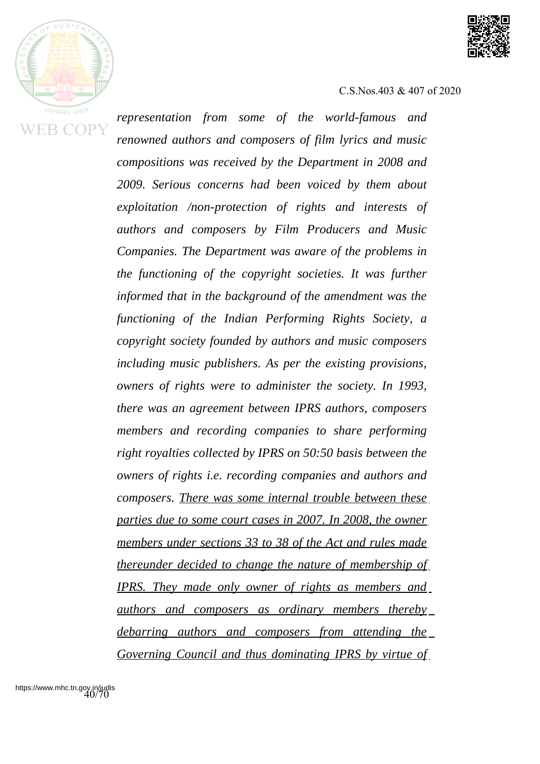



*representation from some of the world-famous and renowned authors and composers of film lyrics and music compositions was received by the Department in 2008 and 2009. Serious concerns had been voiced by them about exploitation /non-protection of rights and interests of authors and composers by Film Producers and Music Companies. The Department was aware of the problems in the functioning of the copyright societies. It was further informed that in the background of the amendment was the functioning of the Indian Performing Rights Society, a copyright society founded by authors and music composers including music publishers. As per the existing provisions, owners of rights were to administer the society. In 1993, there was an agreement between IPRS authors, composers members and recording companies to share performing right royalties collected by IPRS on 50:50 basis between the owners of rights i.e. recording companies and authors and composers. There was some internal trouble between these parties due to some court cases in 2007. In 2008, the owner members under sections 33 to 38 of the Act and rules made thereunder decided to change the nature of membership of IPRS. They made only owner of rights as members and authors and composers as ordinary members thereby debarring authors and composers from attending the Governing Council and thus dominating IPRS by virtue of*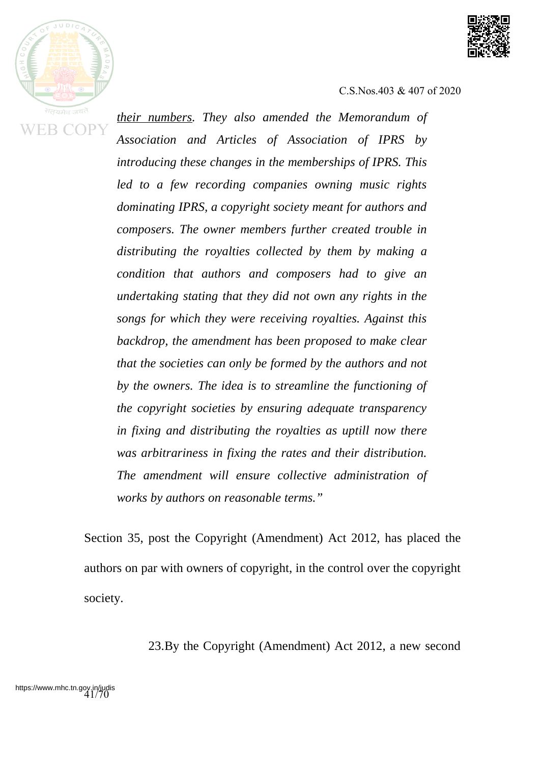



*their numbers. They also amended the Memorandum of Association and Articles of Association of IPRS by introducing these changes in the memberships of IPRS. This led to a few recording companies owning music rights dominating IPRS, a copyright society meant for authors and composers. The owner members further created trouble in distributing the royalties collected by them by making a condition that authors and composers had to give an undertaking stating that they did not own any rights in the songs for which they were receiving royalties. Against this backdrop, the amendment has been proposed to make clear that the societies can only be formed by the authors and not by the owners. The idea is to streamline the functioning of the copyright societies by ensuring adequate transparency in fixing and distributing the royalties as uptill now there was arbitrariness in fixing the rates and their distribution. The amendment will ensure collective administration of works by authors on reasonable terms."*

Section 35, post the Copyright (Amendment) Act 2012, has placed the authors on par with owners of copyright, in the control over the copyright society.

23.By the Copyright (Amendment) Act 2012, a new second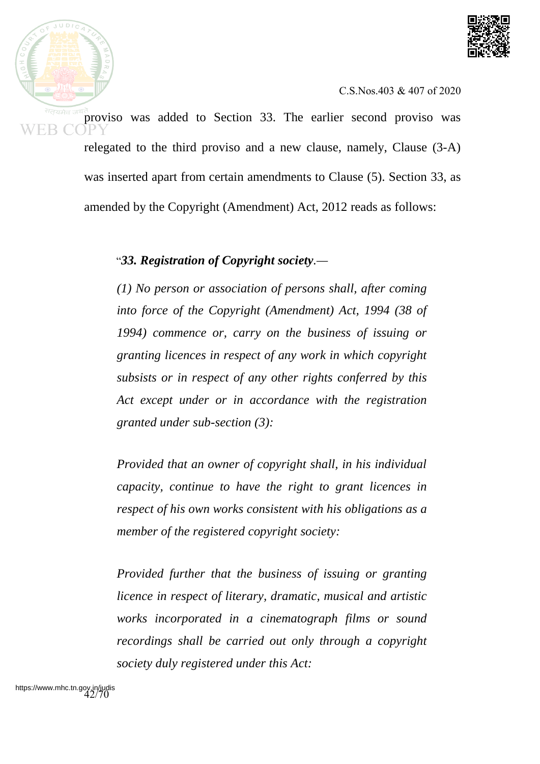



proviso was added to Section 33. The earlier second proviso was relegated to the third proviso and a new clause, namely, Clause (3-A) was inserted apart from certain amendments to Clause (5). Section 33, as amended by the Copyright (Amendment) Act, 2012 reads as follows:

"*33. Registration of Copyright society.—*

*(1) No person or association of persons shall, after coming into force of the Copyright (Amendment) Act, 1994 (38 of 1994) commence or, carry on the business of issuing or granting licences in respect of any work in which copyright subsists or in respect of any other rights conferred by this Act except under or in accordance with the registration granted under sub-section (3):*

*Provided that an owner of copyright shall, in his individual capacity, continue to have the right to grant licences in respect of his own works consistent with his obligations as a member of the registered copyright society:*

*Provided further that the business of issuing or granting licence in respect of literary, dramatic, musical and artistic works incorporated in a cinematograph films or sound recordings shall be carried out only through a copyright society duly registered under this Act:*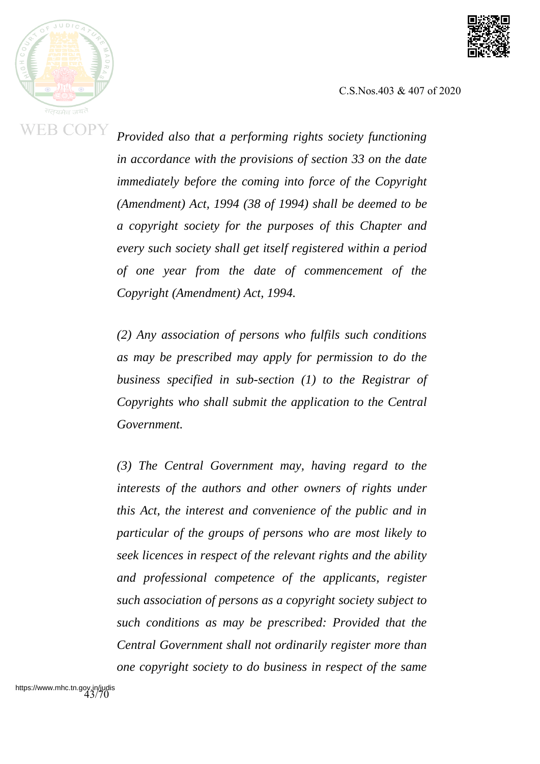



*Provided also that a performing rights society functioning in accordance with the provisions of section 33 on the date immediately before the coming into force of the Copyright (Amendment) Act, 1994 (38 of 1994) shall be deemed to be a copyright society for the purposes of this Chapter and every such society shall get itself registered within a period of one year from the date of commencement of the Copyright (Amendment) Act, 1994.*

*(2) Any association of persons who fulfils such conditions as may be prescribed may apply for permission to do the business specified in sub-section (1) to the Registrar of Copyrights who shall submit the application to the Central Government.*

*(3) The Central Government may, having regard to the interests of the authors and other owners of rights under this Act, the interest and convenience of the public and in particular of the groups of persons who are most likely to seek licences in respect of the relevant rights and the ability and professional competence of the applicants, register such association of persons as a copyright society subject to such conditions as may be prescribed: Provided that the Central Government shall not ordinarily register more than one copyright society to do business in respect of the same*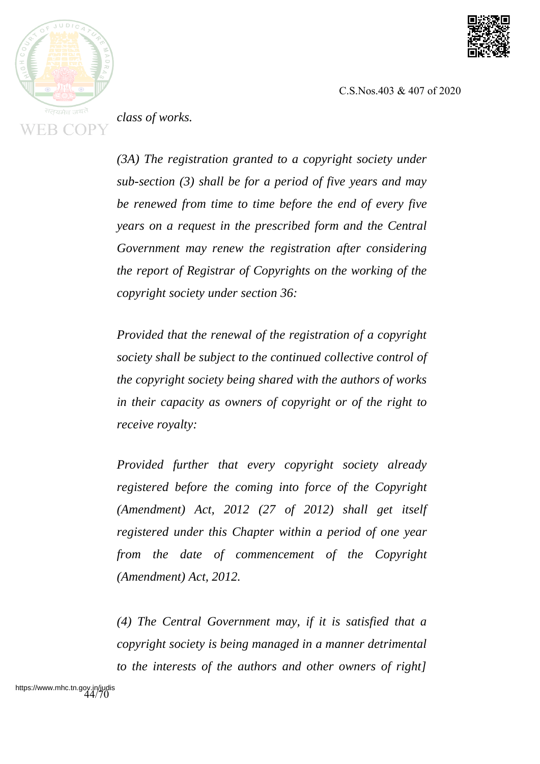



*class of works.*

*(3A) The registration granted to a copyright society under sub-section (3) shall be for a period of five years and may be renewed from time to time before the end of every five years on a request in the prescribed form and the Central Government may renew the registration after considering the report of Registrar of Copyrights on the working of the copyright society under section 36:*

*Provided that the renewal of the registration of a copyright society shall be subject to the continued collective control of the copyright society being shared with the authors of works in their capacity as owners of copyright or of the right to receive royalty:*

*Provided further that every copyright society already registered before the coming into force of the Copyright (Amendment) Act, 2012 (27 of 2012) shall get itself registered under this Chapter within a period of one year from the date of commencement of the Copyright (Amendment) Act, 2012.*

*(4) The Central Government may, if it is satisfied that a copyright society is being managed in a manner detrimental to the interests of the authors and other owners of right]*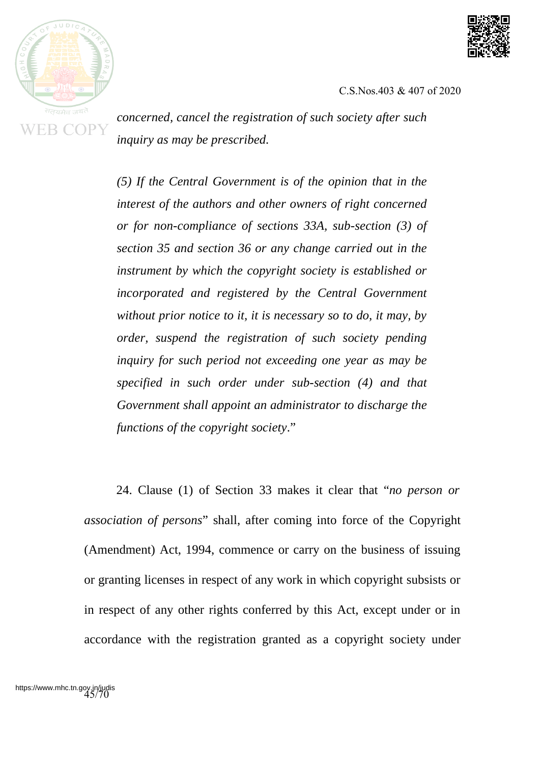



*concerned, cancel the registration of such society after such inquiry as may be prescribed.*

*(5) If the Central Government is of the opinion that in the interest of the authors and other owners of right concerned or for non-compliance of sections 33A, sub-section (3) of section 35 and section 36 or any change carried out in the instrument by which the copyright society is established or incorporated and registered by the Central Government without prior notice to it, it is necessary so to do, it may, by order, suspend the registration of such society pending inquiry for such period not exceeding one year as may be specified in such order under sub-section (4) and that Government shall appoint an administrator to discharge the functions of the copyright society*."

24. Clause (1) of Section 33 makes it clear that "*no person or association of persons*" shall, after coming into force of the Copyright (Amendment) Act, 1994, commence or carry on the business of issuing or granting licenses in respect of any work in which copyright subsists or in respect of any other rights conferred by this Act, except under or in accordance with the registration granted as a copyright society under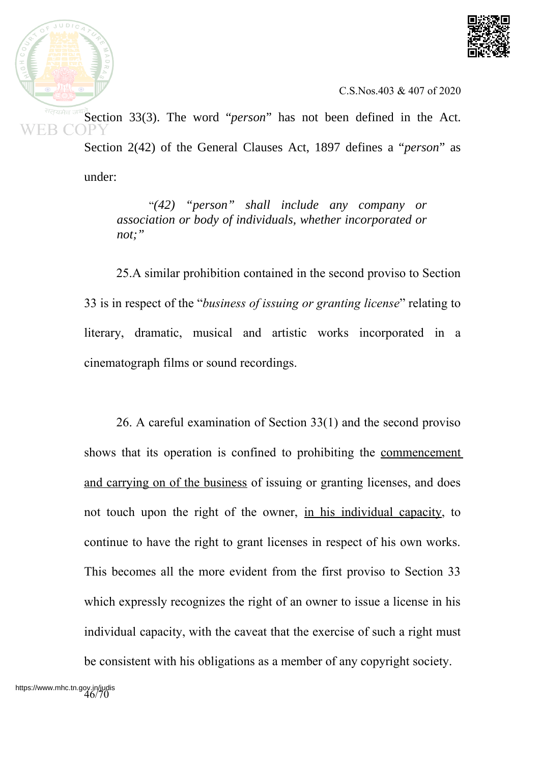



Section 33(3). The word "*person*" has not been defined in the Act. Section 2(42) of the General Clauses Act, 1897 defines a "*person*" as under:

> "*(42) "person" shall include any company or association or body of individuals, whether incorporated or not;"*

25.A similar prohibition contained in the second proviso to Section 33 is in respect of the "*business of issuing or granting license*" relating to literary, dramatic, musical and artistic works incorporated in a cinematograph films or sound recordings.

26. A careful examination of Section 33(1) and the second proviso shows that its operation is confined to prohibiting the commencement and carrying on of the business of issuing or granting licenses, and does not touch upon the right of the owner, in his individual capacity, to continue to have the right to grant licenses in respect of his own works. This becomes all the more evident from the first proviso to Section 33 which expressly recognizes the right of an owner to issue a license in his individual capacity, with the caveat that the exercise of such a right must be consistent with his obligations as a member of any copyright society.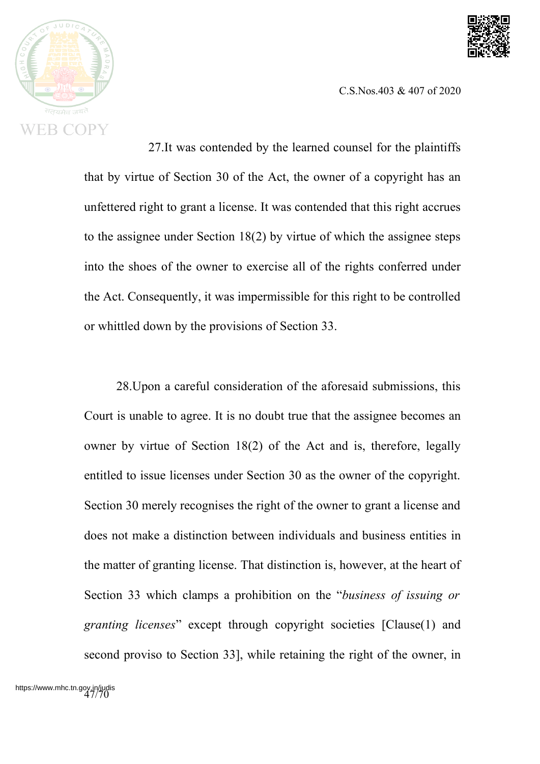



27.It was contended by the learned counsel for the plaintiffs that by virtue of Section 30 of the Act, the owner of a copyright has an unfettered right to grant a license. It was contended that this right accrues to the assignee under Section 18(2) by virtue of which the assignee steps into the shoes of the owner to exercise all of the rights conferred under the Act. Consequently, it was impermissible for this right to be controlled or whittled down by the provisions of Section 33.

28.Upon a careful consideration of the aforesaid submissions, this Court is unable to agree. It is no doubt true that the assignee becomes an owner by virtue of Section 18(2) of the Act and is, therefore, legally entitled to issue licenses under Section 30 as the owner of the copyright. Section 30 merely recognises the right of the owner to grant a license and does not make a distinction between individuals and business entities in the matter of granting license. That distinction is, however, at the heart of Section 33 which clamps a prohibition on the "*business of issuing or granting licenses*" except through copyright societies [Clause(1) and second proviso to Section 33], while retaining the right of the owner, in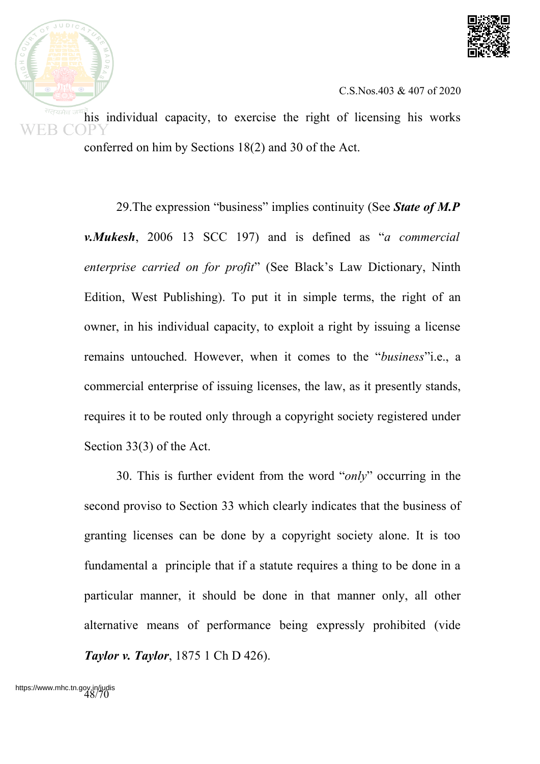

his individual capacity, to exercise the right of licensing his works conferred on him by Sections 18(2) and 30 of the Act.

> 29.The expression "business" implies continuity (See *State of M.P v.Mukesh*, 2006 13 SCC 197) and is defined as "*a commercial enterprise carried on for profit*" (See Black's Law Dictionary, Ninth Edition, West Publishing). To put it in simple terms, the right of an owner, in his individual capacity, to exploit a right by issuing a license remains untouched. However, when it comes to the "*business*"i.e., a commercial enterprise of issuing licenses, the law, as it presently stands, requires it to be routed only through a copyright society registered under Section 33(3) of the Act.

> 30. This is further evident from the word "*only*" occurring in the second proviso to Section 33 which clearly indicates that the business of granting licenses can be done by a copyright society alone. It is too fundamental a principle that if a statute requires a thing to be done in a particular manner, it should be done in that manner only, all other alternative means of performance being expressly prohibited (vide *Taylor v. Taylor*, 1875 1 Ch D 426).

 $JUDIC$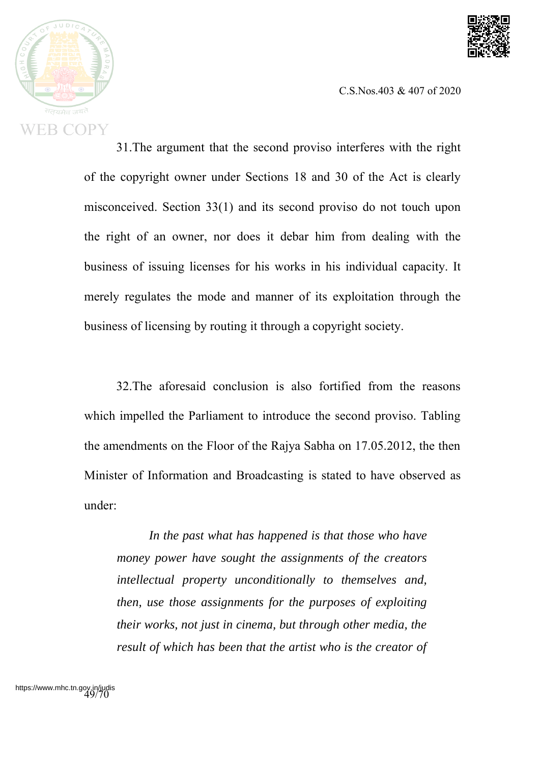



31.The argument that the second proviso interferes with the right of the copyright owner under Sections 18 and 30 of the Act is clearly misconceived. Section 33(1) and its second proviso do not touch upon the right of an owner, nor does it debar him from dealing with the business of issuing licenses for his works in his individual capacity. It merely regulates the mode and manner of its exploitation through the business of licensing by routing it through a copyright society.

32.The aforesaid conclusion is also fortified from the reasons which impelled the Parliament to introduce the second proviso. Tabling the amendments on the Floor of the Rajya Sabha on 17.05.2012, the then Minister of Information and Broadcasting is stated to have observed as under:

*In the past what has happened is that those who have money power have sought the assignments of the creators intellectual property unconditionally to themselves and, then, use those assignments for the purposes of exploiting their works, not just in cinema, but through other media, the result of which has been that the artist who is the creator of*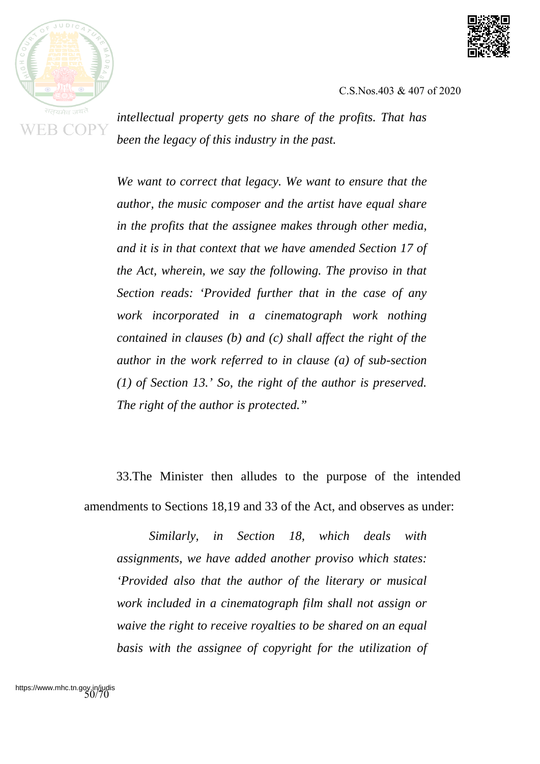



*intellectual property gets no share of the profits. That has been the legacy of this industry in the past.*

*We want to correct that legacy. We want to ensure that the author, the music composer and the artist have equal share in the profits that the assignee makes through other media, and it is in that context that we have amended Section 17 of the Act, wherein, we say the following. The proviso in that Section reads: 'Provided further that in the case of any work incorporated in a cinematograph work nothing contained in clauses (b) and (c) shall affect the right of the author in the work referred to in clause (a) of sub-section (1) of Section 13.' So, the right of the author is preserved. The right of the author is protected."*

33.The Minister then alludes to the purpose of the intended amendments to Sections 18,19 and 33 of the Act, and observes as under:

*Similarly, in Section 18, which deals with assignments, we have added another proviso which states: 'Provided also that the author of the literary or musical work included in a cinematograph film shall not assign or waive the right to receive royalties to be shared on an equal basis with the assignee of copyright for the utilization of*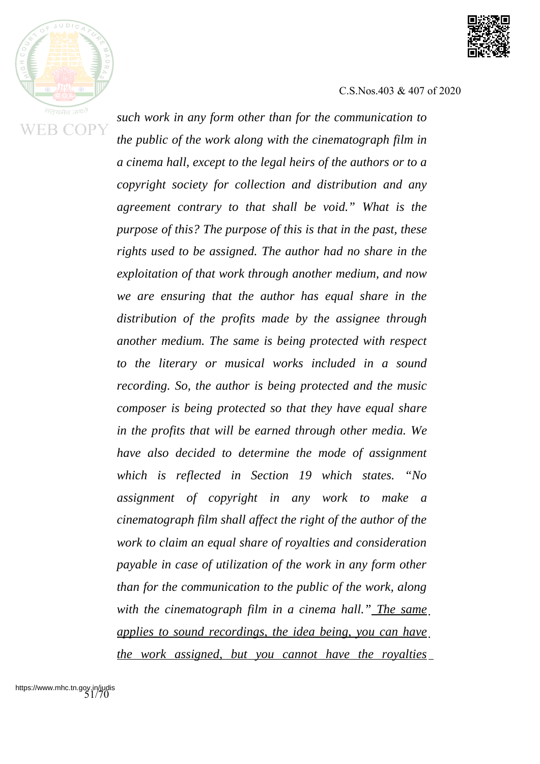



*such work in any form other than for the communication to the public of the work along with the cinematograph film in a cinema hall, except to the legal heirs of the authors or to a copyright society for collection and distribution and any agreement contrary to that shall be void." What is the purpose of this? The purpose of this is that in the past, these rights used to be assigned. The author had no share in the exploitation of that work through another medium, and now we are ensuring that the author has equal share in the distribution of the profits made by the assignee through another medium. The same is being protected with respect to the literary or musical works included in a sound recording. So, the author is being protected and the music composer is being protected so that they have equal share in the profits that will be earned through other media. We have also decided to determine the mode of assignment which is reflected in Section 19 which states. "No assignment of copyright in any work to make a cinematograph film shall affect the right of the author of the work to claim an equal share of royalties and consideration payable in case of utilization of the work in any form other than for the communication to the public of the work, along with the cinematograph film in a cinema hall." The same applies to sound recordings, the idea being, you can have the work assigned, but you cannot have the royalties*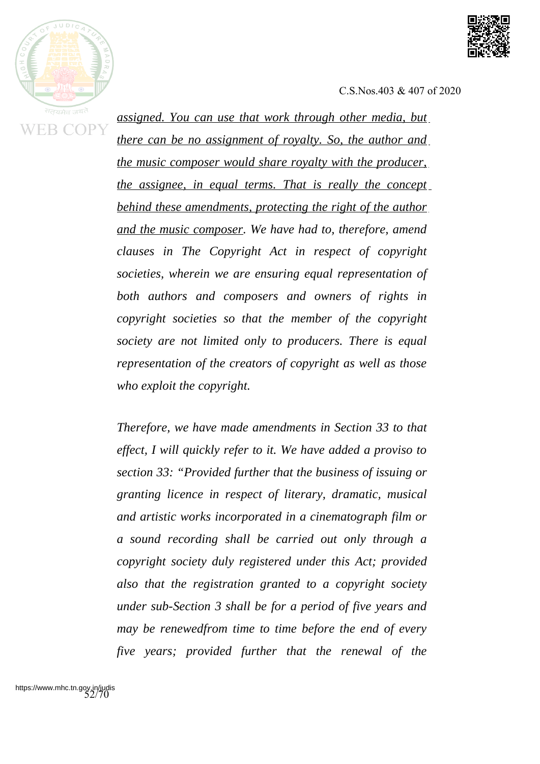



*assigned. You can use that work through other media, but there can be no assignment of royalty. So, the author and the music composer would share royalty with the producer, the assignee, in equal terms. That is really the concept behind these amendments, protecting the right of the author and the music composer. We have had to, therefore, amend clauses in The Copyright Act in respect of copyright societies, wherein we are ensuring equal representation of both authors and composers and owners of rights in copyright societies so that the member of the copyright society are not limited only to producers. There is equal representation of the creators of copyright as well as those who exploit the copyright.*

*Therefore, we have made amendments in Section 33 to that effect, I will quickly refer to it. We have added a proviso to section 33: "Provided further that the business of issuing or granting licence in respect of literary, dramatic, musical and artistic works incorporated in a cinematograph film or a sound recording shall be carried out only through a copyright society duly registered under this Act; provided also that the registration granted to a copyright society under sub-Section 3 shall be for a period of five years and may be renewedfrom time to time before the end of every five years; provided further that the renewal of the*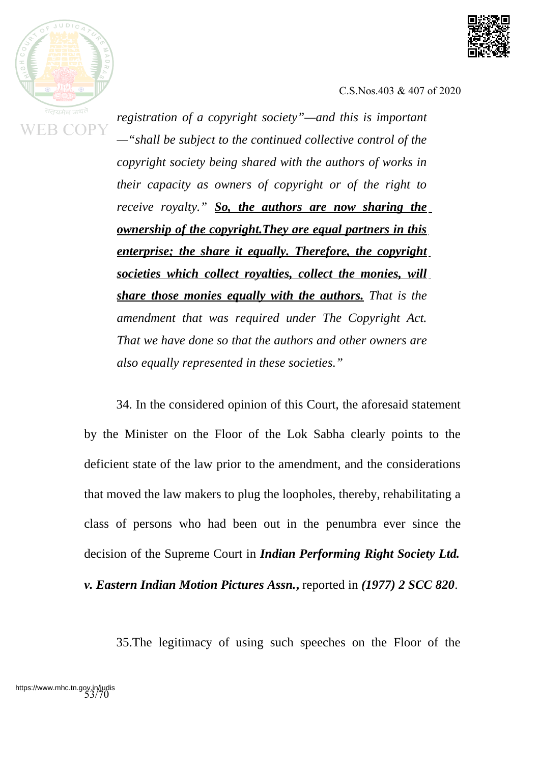



*registration of a copyright society"—and this is important —"shall be subject to the continued collective control of the copyright society being shared with the authors of works in their capacity as owners of copyright or of the right to receive royalty." So, the authors are now sharing the ownership of the copyright.They are equal partners in this enterprise; the share it equally. Therefore, the copyright societies which collect royalties, collect the monies, will share those monies equally with the authors. That is the amendment that was required under The Copyright Act. That we have done so that the authors and other owners are also equally represented in these societies."*

34. In the considered opinion of this Court, the aforesaid statement by the Minister on the Floor of the Lok Sabha clearly points to the deficient state of the law prior to the amendment, and the considerations that moved the law makers to plug the loopholes, thereby, rehabilitating a class of persons who had been out in the penumbra ever since the decision of the Supreme Court in *Indian Performing Right Society Ltd.*

*v. Eastern Indian Motion Pictures Assn.***,** reported in *(1977) 2 SCC 820*.

35.The legitimacy of using such speeches on the Floor of the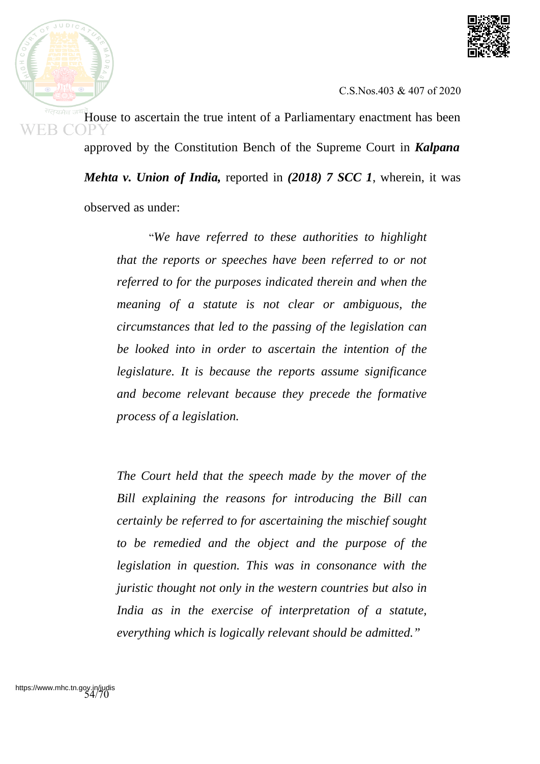



House to ascertain the true intent of a Parliamentary enactment has been approved by the Constitution Bench of the Supreme Court in *Kalpana Mehta v. Union of India,* reported in *(2018) 7 SCC 1*, wherein, it was

observed as under:

"*We have referred to these authorities to highlight that the reports or speeches have been referred to or not referred to for the purposes indicated therein and when the meaning of a statute is not clear or ambiguous, the circumstances that led to the passing of the legislation can be looked into in order to ascertain the intention of the legislature. It is because the reports assume significance and become relevant because they precede the formative process of a legislation.*

*The Court held that the speech made by the mover of the Bill explaining the reasons for introducing the Bill can certainly be referred to for ascertaining the mischief sought to be remedied and the object and the purpose of the legislation in question. This was in consonance with the juristic thought not only in the western countries but also in India as in the exercise of interpretation of a statute, everything which is logically relevant should be admitted."*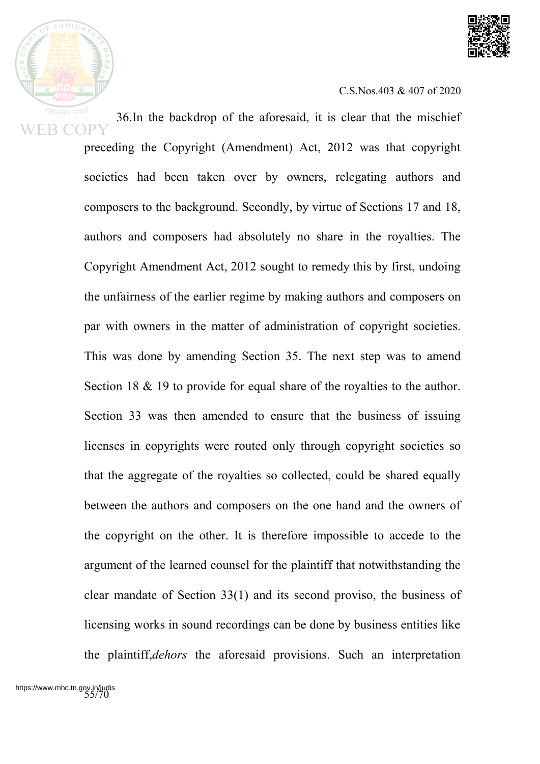



36.In the backdrop of the aforesaid, it is clear that the mischief preceding the Copyright (Amendment) Act, 2012 was that copyright societies had been taken over by owners, relegating authors and composers to the background. Secondly, by virtue of Sections 17 and 18, authors and composers had absolutely no share in the royalties. The Copyright Amendment Act, 2012 sought to remedy this by first, undoing the unfairness of the earlier regime by making authors and composers on par with owners in the matter of administration of copyright societies. This was done by amending Section 35. The next step was to amend Section 18 & 19 to provide for equal share of the royalties to the author. Section 33 was then amended to ensure that the business of issuing licenses in copyrights were routed only through copyright societies so that the aggregate of the royalties so collected, could be shared equally between the authors and composers on the one hand and the owners of the copyright on the other. It is therefore impossible to accede to the argument of the learned counsel for the plaintiff that notwithstanding the clear mandate of Section 33(1) and its second proviso, the business of licensing works in sound recordings can be done by business entities like the plaintiff,*dehors* the aforesaid provisions. Such an interpretation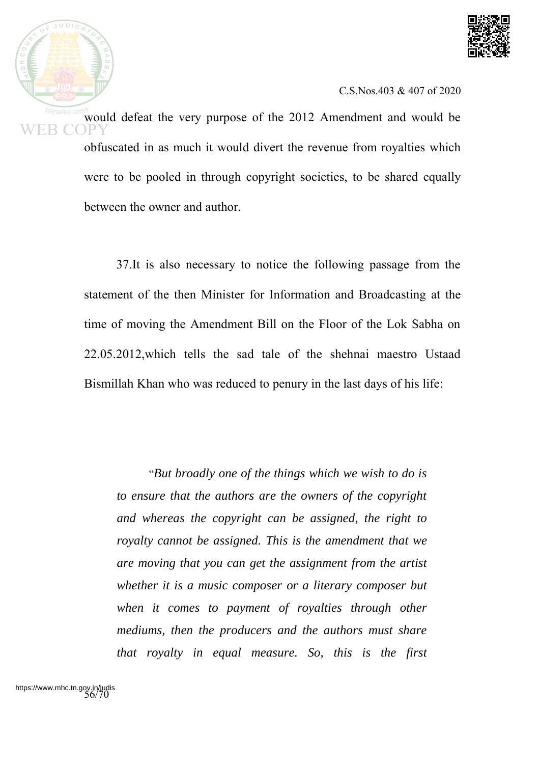



would defeat the very purpose of the 2012 Amendment and would be obfuscated in as much it would divert the revenue from royalties which were to be pooled in through copyright societies, to be shared equally between the owner and author.

37.It is also necessary to notice the following passage from the statement of the then Minister for Information and Broadcasting at the time of moving the Amendment Bill on the Floor of the Lok Sabha on 22.05.2012,which tells the sad tale of the shehnai maestro Ustaad Bismillah Khan who was reduced to penury in the last days of his life:

"*But broadly one of the things which we wish to do is to ensure that the authors are the owners of the copyright and whereas the copyright can be assigned, the right to royalty cannot be assigned. This is the amendment that we are moving that you can get the assignment from the artist whether it is a music composer or a literary composer but when it comes to payment of royalties through other mediums, then the producers and the authors must share that royalty in equal measure. So, this is the first*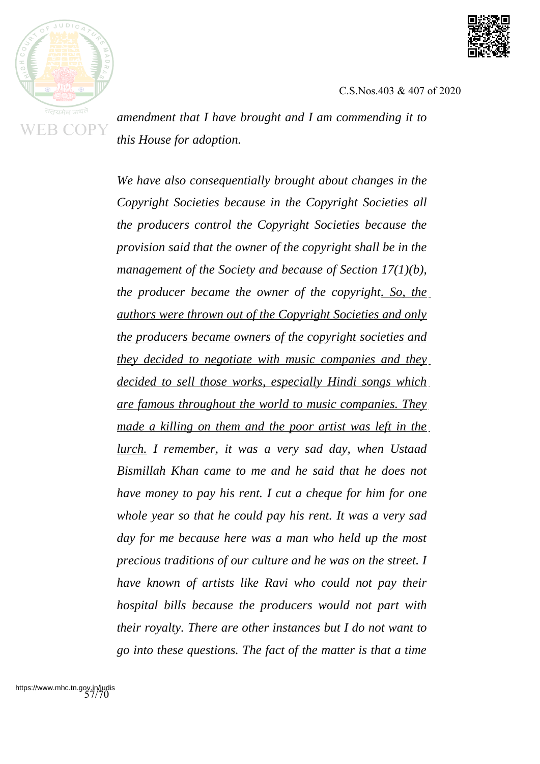



*amendment that I have brought and I am commending it to this House for adoption.*

*We have also consequentially brought about changes in the Copyright Societies because in the Copyright Societies all the producers control the Copyright Societies because the provision said that the owner of the copyright shall be in the management of the Society and because of Section 17(1)(b), the producer became the owner of the copyright. So, the authors were thrown out of the Copyright Societies and only the producers became owners of the copyright societies and they decided to negotiate with music companies and they decided to sell those works, especially Hindi songs which are famous throughout the world to music companies. They made a killing on them and the poor artist was left in the lurch. I remember, it was a very sad day, when Ustaad Bismillah Khan came to me and he said that he does not have money to pay his rent. I cut a cheque for him for one whole year so that he could pay his rent. It was a very sad day for me because here was a man who held up the most precious traditions of our culture and he was on the street. I have known of artists like Ravi who could not pay their hospital bills because the producers would not part with their royalty. There are other instances but I do not want to go into these questions. The fact of the matter is that a time*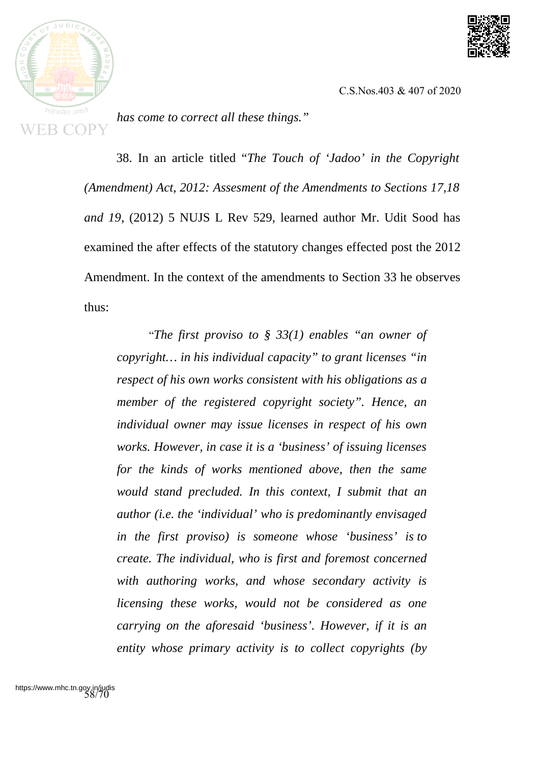



*has come to correct all these things."*

38. In an article titled "*The Touch of 'Jadoo' in the Copyright (Amendment) Act, 2012: Assesment of the Amendments to Sections 17,18 and 19*, (2012) 5 NUJS L Rev 529, learned author Mr. Udit Sood has examined the after effects of the statutory changes effected post the 2012 Amendment. In the context of the amendments to Section 33 he observes thus:

"*The first proviso to § 33(1) enables "an owner of copyright… in his individual capacity" to grant licenses "in respect of his own works consistent with his obligations as a member of the registered copyright society". Hence, an individual owner may issue licenses in respect of his own works. However, in case it is a 'business' of issuing licenses for the kinds of works mentioned above, then the same would stand precluded. In this context, I submit that an author (i.e. the 'individual' who is predominantly envisaged in the first proviso) is someone whose 'business' is to create. The individual, who is first and foremost concerned with authoring works, and whose secondary activity is licensing these works, would not be considered as one carrying on the aforesaid 'business'. However, if it is an entity whose primary activity is to collect copyrights (by*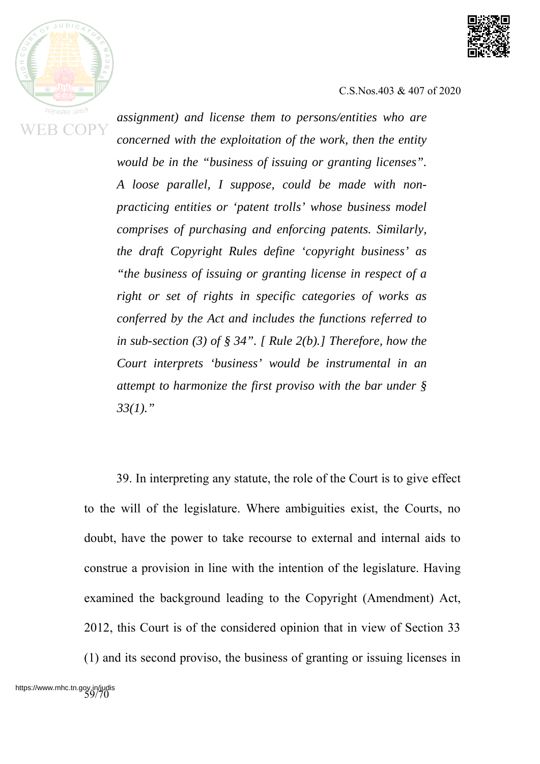



*assignment) and license them to persons/entities who are concerned with the exploitation of the work, then the entity would be in the "business of issuing or granting licenses". A loose parallel, I suppose, could be made with nonpracticing entities or 'patent trolls' whose business model comprises of purchasing and enforcing patents. Similarly, the draft Copyright Rules define 'copyright business' as "the business of issuing or granting license in respect of a right or set of rights in specific categories of works as conferred by the Act and includes the functions referred to in sub-section (3) of § 34". [ Rule 2(b).] Therefore, how the Court interprets 'business' would be instrumental in an attempt to harmonize the first proviso with the bar under § 33(1)."*

39. In interpreting any statute, the role of the Court is to give effect to the will of the legislature. Where ambiguities exist, the Courts, no doubt, have the power to take recourse to external and internal aids to construe a provision in line with the intention of the legislature. Having examined the background leading to the Copyright (Amendment) Act, 2012, this Court is of the considered opinion that in view of Section 33 (1) and its second proviso, the business of granting or issuing licenses in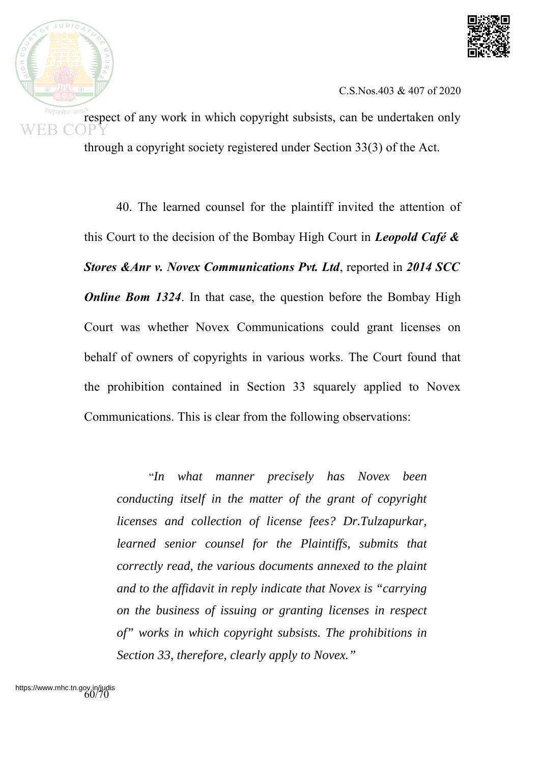

respect of any work in which copyright subsists, can be undertaken only through a copyright society registered under Section 33(3) of the Act.

> 40. The learned counsel for the plaintiff invited the attention of this Court to the decision of the Bombay High Court in *Leopold Café & Stores &Anr v. Novex Communications Pvt. Ltd*, reported in *2014 SCC Online Bom 1324*. In that case, the question before the Bombay High Court was whether Novex Communications could grant licenses on behalf of owners of copyrights in various works. The Court found that the prohibition contained in Section 33 squarely applied to Novex Communications. This is clear from the following observations:

"*In what manner precisely has Novex been conducting itself in the matter of the grant of copyright licenses and collection of license fees? Dr.Tulzapurkar, learned senior counsel for the Plaintiffs, submits that correctly read, the various documents annexed to the plaint and to the affidavit in reply indicate that Novex is "carrying on the business of issuing or granting licenses in respect of" works in which copyright subsists. The prohibitions in Section 33, therefore, clearly apply to Novex."*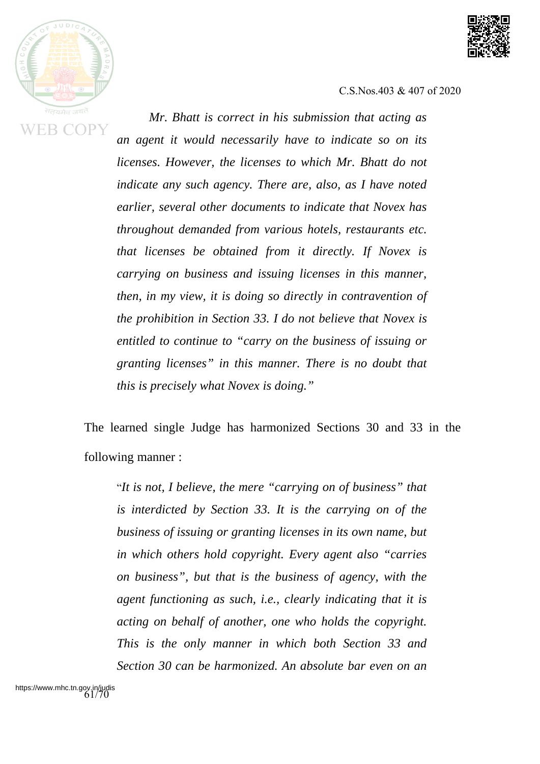

R (



C.S.Nos.403 & 407 of 2020

*Mr. Bhatt is correct in his submission that acting as an agent it would necessarily have to indicate so on its licenses. However, the licenses to which Mr. Bhatt do not indicate any such agency. There are, also, as I have noted earlier, several other documents to indicate that Novex has throughout demanded from various hotels, restaurants etc. that licenses be obtained from it directly. If Novex is carrying on business and issuing licenses in this manner, then, in my view, it is doing so directly in contravention of the prohibition in Section 33. I do not believe that Novex is entitled to continue to "carry on the business of issuing or granting licenses" in this manner. There is no doubt that this is precisely what Novex is doing."*

The learned single Judge has harmonized Sections 30 and 33 in the following manner :

"*It is not, I believe, the mere "carrying on of business" that is interdicted by Section 33. It is the carrying on of the business of issuing or granting licenses in its own name, but in which others hold copyright. Every agent also "carries on business", but that is the business of agency, with the agent functioning as such, i.e., clearly indicating that it is acting on behalf of another, one who holds the copyright. This is the only manner in which both Section 33 and Section 30 can be harmonized. An absolute bar even on an*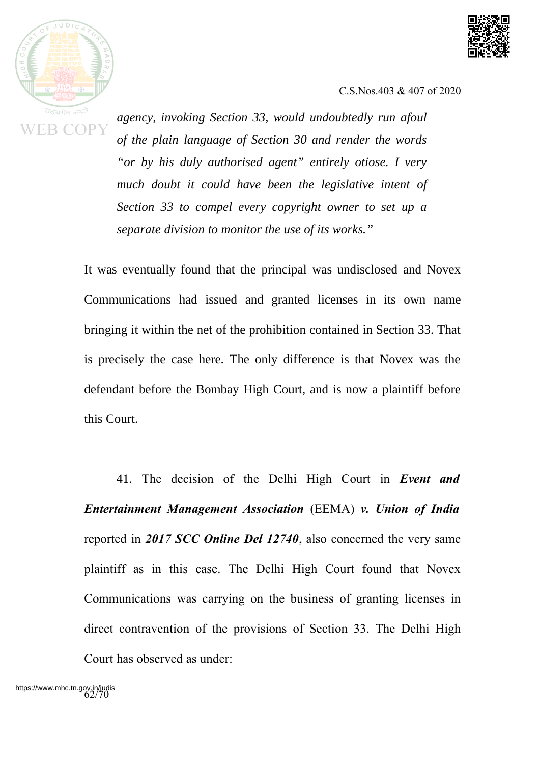

*agency, invoking Section 33, would undoubtedly run afoul of the plain language of Section 30 and render the words "or by his duly authorised agent" entirely otiose. I very much doubt it could have been the legislative intent of Section 33 to compel every copyright owner to set up a separate division to monitor the use of its works."*

It was eventually found that the principal was undisclosed and Novex Communications had issued and granted licenses in its own name bringing it within the net of the prohibition contained in Section 33. That is precisely the case here. The only difference is that Novex was the defendant before the Bombay High Court, and is now a plaintiff before this Court.

41. The decision of the Delhi High Court in *Event and Entertainment Management Association* (EEMA) *v. Union of India* reported in *2017 SCC Online Del 12740*, also concerned the very same plaintiff as in this case. The Delhi High Court found that Novex Communications was carrying on the business of granting licenses in direct contravention of the provisions of Section 33. The Delhi High Court has observed as under: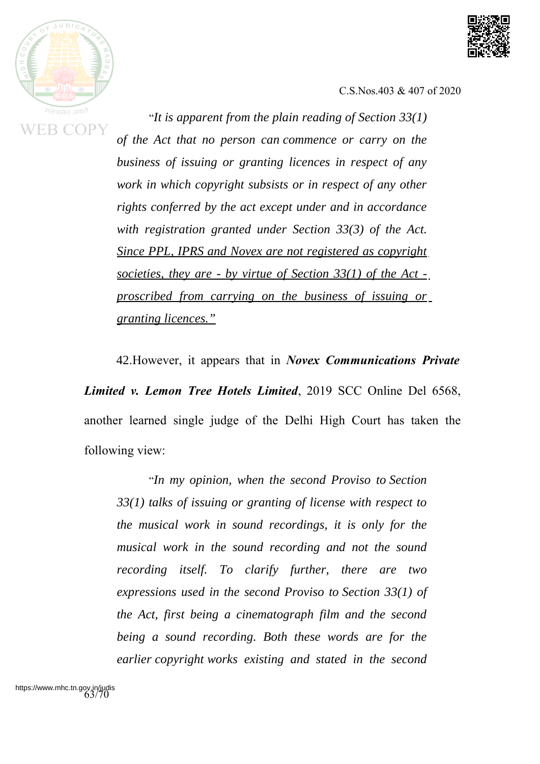

**EB COPY** 



C.S.Nos.403 & 407 of 2020

"*It is apparent from the plain reading of Section 33(1) of the Act that no person can commence or carry on the business of issuing or granting licences in respect of any work in which copyright subsists or in respect of any other rights conferred by the act except under and in accordance with registration granted under Section 33(3) of the Act. Since PPL, IPRS and Novex are not registered as copyright societies, they are - by virtue of Section 33(1) of the Act proscribed from carrying on the business of issuing or granting licences."*

42.However, it appears that in *Novex Communications Private Limited v. Lemon Tree Hotels Limited*, 2019 SCC Online Del 6568, another learned single judge of the Delhi High Court has taken the following view:

"*In my opinion, when the second Proviso to Section 33(1) talks of issuing or granting of license with respect to the musical work in sound recordings, it is only for the musical work in the sound recording and not the sound recording itself. To clarify further, there are two expressions used in the second Proviso to Section 33(1) of the Act, first being a cinematograph film and the second being a sound recording. Both these words are for the earlier copyright works existing and stated in the second*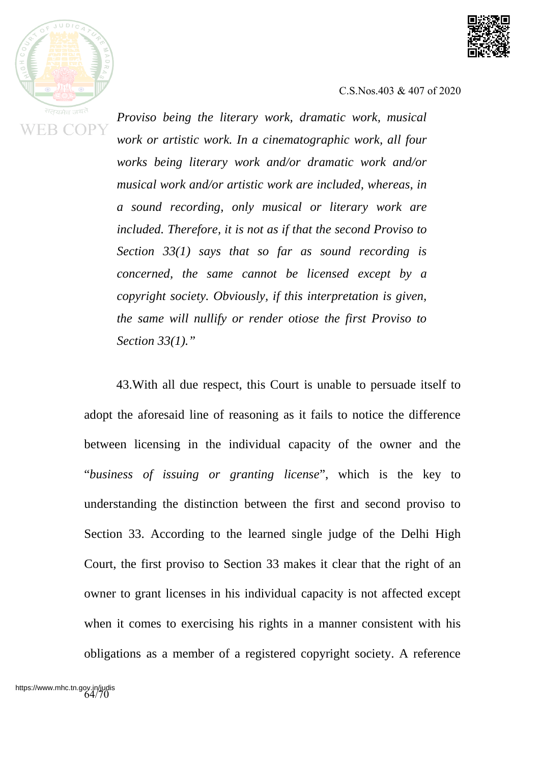



*Proviso being the literary work, dramatic work, musical work or artistic work. In a cinematographic work, all four works being literary work and/or dramatic work and/or musical work and/or artistic work are included, whereas, in a sound recording, only musical or literary work are included. Therefore, it is not as if that the second Proviso to Section 33(1) says that so far as sound recording is concerned, the same cannot be licensed except by a copyright society. Obviously, if this interpretation is given, the same will nullify or render otiose the first Proviso to Section 33(1)."*

43.With all due respect, this Court is unable to persuade itself to adopt the aforesaid line of reasoning as it fails to notice the difference between licensing in the individual capacity of the owner and the "*business of issuing or granting license*", which is the key to understanding the distinction between the first and second proviso to Section 33. According to the learned single judge of the Delhi High Court, the first proviso to Section 33 makes it clear that the right of an owner to grant licenses in his individual capacity is not affected except when it comes to exercising his rights in a manner consistent with his obligations as a member of a registered copyright society. A reference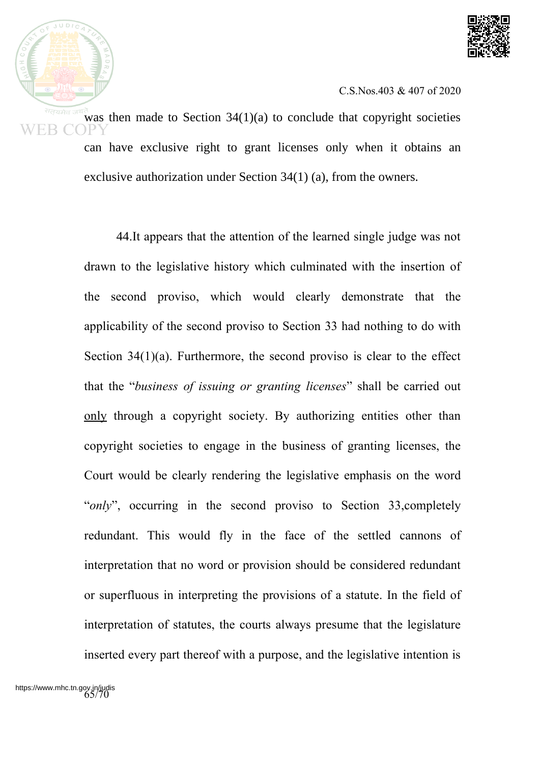



was then made to Section  $34(1)(a)$  to conclude that copyright societies can have exclusive right to grant licenses only when it obtains an exclusive authorization under Section 34(1) (a), from the owners.

44.It appears that the attention of the learned single judge was not drawn to the legislative history which culminated with the insertion of the second proviso, which would clearly demonstrate that the applicability of the second proviso to Section 33 had nothing to do with Section 34(1)(a). Furthermore, the second proviso is clear to the effect that the "*business of issuing or granting licenses*" shall be carried out only through a copyright society. By authorizing entities other than copyright societies to engage in the business of granting licenses, the Court would be clearly rendering the legislative emphasis on the word "*only*", occurring in the second proviso to Section 33, completely redundant. This would fly in the face of the settled cannons of interpretation that no word or provision should be considered redundant or superfluous in interpreting the provisions of a statute. In the field of interpretation of statutes, the courts always presume that the legislature inserted every part thereof with a purpose, and the legislative intention is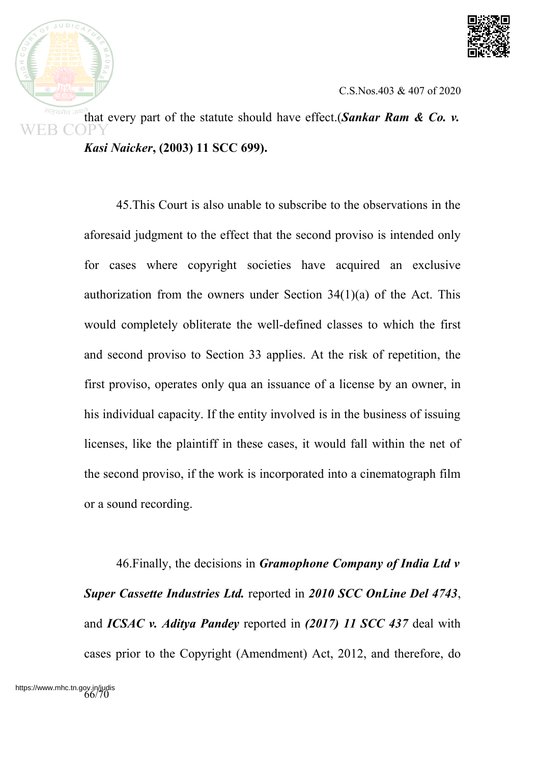



that every part of the statute should have effect.(*Sankar Ram & Co. v. Kasi Naicker***, (2003) 11 SCC 699).**

> 45.This Court is also unable to subscribe to the observations in the aforesaid judgment to the effect that the second proviso is intended only for cases where copyright societies have acquired an exclusive authorization from the owners under Section 34(1)(a) of the Act. This would completely obliterate the well-defined classes to which the first and second proviso to Section 33 applies. At the risk of repetition, the first proviso, operates only qua an issuance of a license by an owner, in his individual capacity. If the entity involved is in the business of issuing licenses, like the plaintiff in these cases, it would fall within the net of the second proviso, if the work is incorporated into a cinematograph film or a sound recording.

> 46.Finally, the decisions in *Gramophone Company of India Ltd v Super Cassette Industries Ltd.* reported in *2010 SCC OnLine Del 4743*, and *ICSAC v. Aditya Pandey* reported in *(2017) 11 SCC 437* deal with cases prior to the Copyright (Amendment) Act, 2012, and therefore, do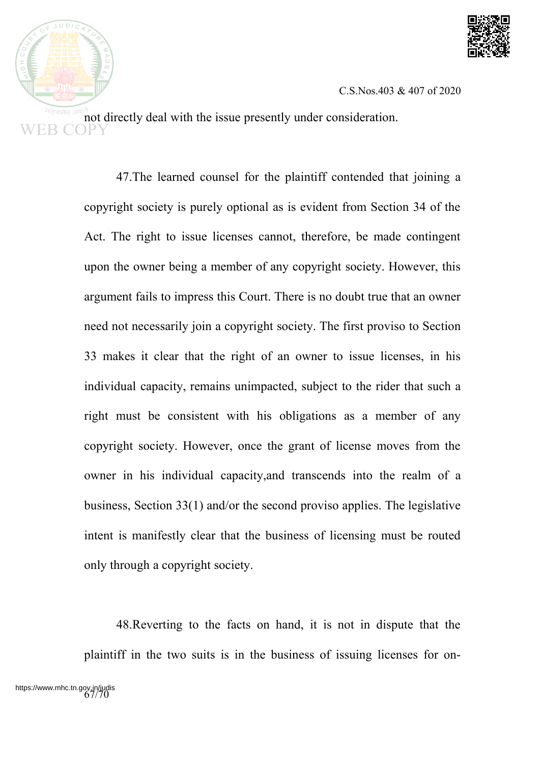



not directly deal with the issue presently under consideration.

47.The learned counsel for the plaintiff contended that joining a copyright society is purely optional as is evident from Section 34 of the Act. The right to issue licenses cannot, therefore, be made contingent upon the owner being a member of any copyright society. However, this argument fails to impress this Court. There is no doubt true that an owner need not necessarily join a copyright society. The first proviso to Section 33 makes it clear that the right of an owner to issue licenses, in his individual capacity, remains unimpacted, subject to the rider that such a right must be consistent with his obligations as a member of any copyright society. However, once the grant of license moves from the owner in his individual capacity,and transcends into the realm of a business, Section 33(1) and/or the second proviso applies. The legislative intent is manifestly clear that the business of licensing must be routed only through a copyright society.

48.Reverting to the facts on hand, it is not in dispute that the plaintiff in the two suits is in the business of issuing licenses for on-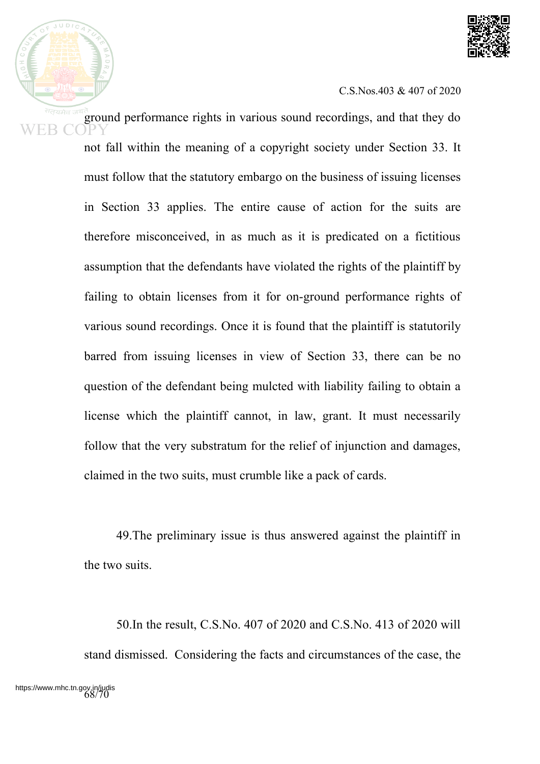

ground performance rights in various sound recordings, and that they do not fall within the meaning of a copyright society under Section 33. It must follow that the statutory embargo on the business of issuing licenses in Section 33 applies. The entire cause of action for the suits are therefore misconceived, in as much as it is predicated on a fictitious assumption that the defendants have violated the rights of the plaintiff by failing to obtain licenses from it for on-ground performance rights of various sound recordings. Once it is found that the plaintiff is statutorily barred from issuing licenses in view of Section 33, there can be no question of the defendant being mulcted with liability failing to obtain a license which the plaintiff cannot, in law, grant. It must necessarily follow that the very substratum for the relief of injunction and damages, claimed in the two suits, must crumble like a pack of cards.

> 49.The preliminary issue is thus answered against the plaintiff in the two suits.

> 50.In the result, C.S.No. 407 of 2020 and C.S.No. 413 of 2020 will stand dismissed. Considering the facts and circumstances of the case, the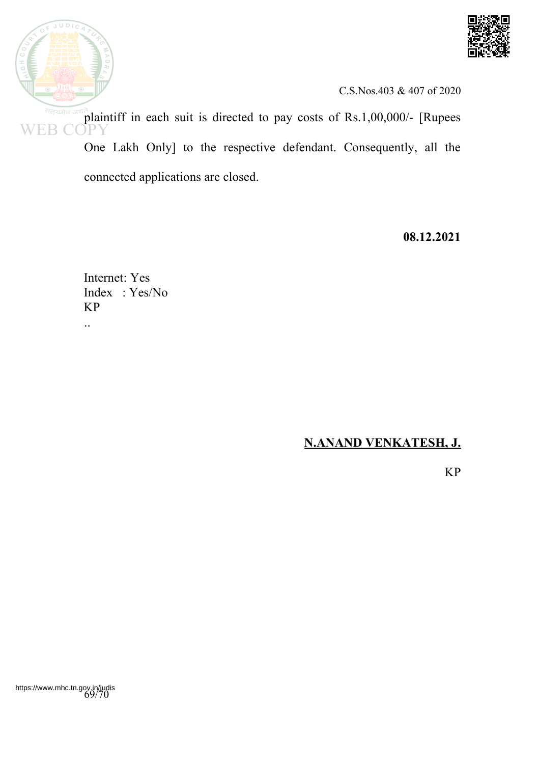



plaintiff in each suit is directed to pay costs of Rs.1,00,000/- [Rupees EB (

One Lakh Only] to the respective defendant. Consequently, all the connected applications are closed.

**08.12.2021**

Internet: Yes Index : Yes/No KP

..

## **N.ANAND VENKATESH, J.**

KP